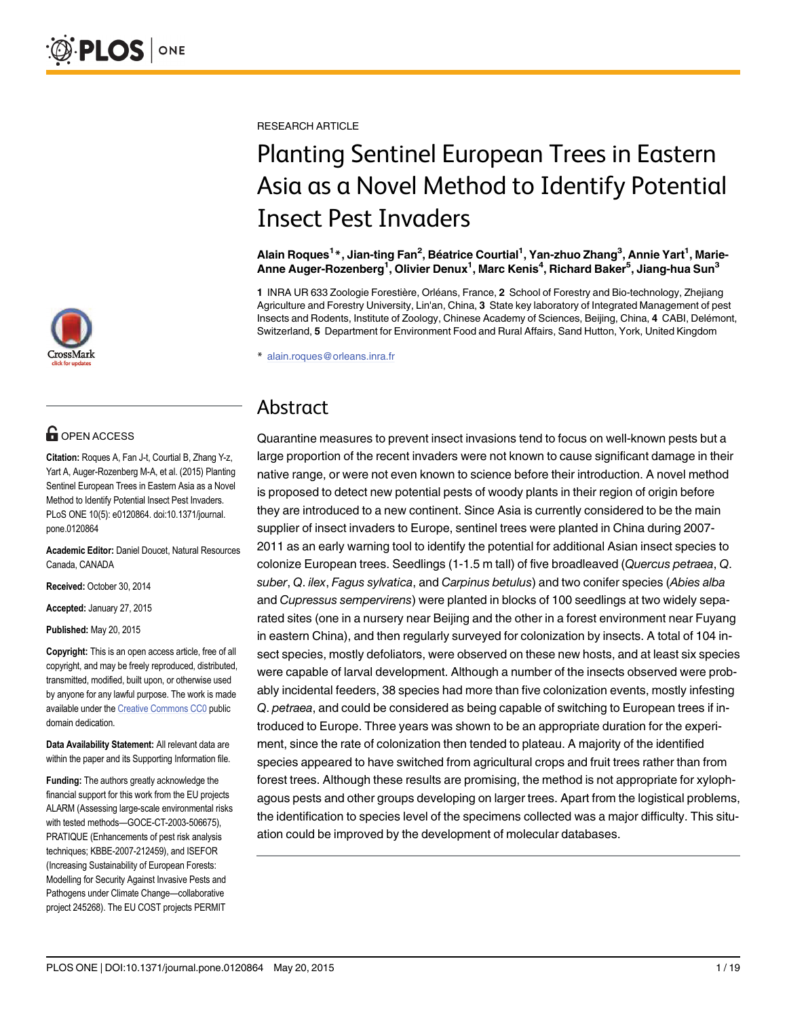

# **G** OPEN ACCESS

Citation: Roques A, Fan J-t, Courtial B, Zhang Y-z, Yart A, Auger-Rozenberg M-A, et al. (2015) Planting Sentinel European Trees in Eastern Asia as a Novel Method to Identify Potential Insect Pest Invaders. PLoS ONE 10(5): e0120864. doi:10.1371/journal. pone.0120864

Academic Editor: Daniel Doucet, Natural Resources Canada, CANADA

Received: October 30, 2014

Accepted: January 27, 2015

Published: May 20, 2015

Copyright: This is an open access article, free of all copyright, and may be freely reproduced, distributed, transmitted, modified, built upon, or otherwise used by anyone for any lawful purpose. The work is made available under the [Creative Commons CC0](https://creativecommons.org/publicdomain/zero/1.0/) public domain dedication.

Data Availability Statement: All relevant data are within the paper and its Supporting Information file.

Funding: The authors greatly acknowledge the financial support for this work from the EU projects ALARM (Assessing large-scale environmental risks with tested methods—GOCE-CT-2003-506675), PRATIQUE (Enhancements of pest risk analysis techniques; KBBE-2007-212459), and ISEFOR (Increasing Sustainability of European Forests: Modelling for Security Against Invasive Pests and Pathogens under Climate Change—collaborative project 245268). The EU COST projects PERMIT

RESEARCH ARTICLE

# Planting Sentinel European Trees in Eastern Asia as a Novel Method to Identify Potential Insect Pest Invaders

Alain Roques<sup>1</sup>\*, Jian-ting Fan<sup>2</sup>, Béatrice Courtial<sup>1</sup>, Yan-zhuo Zhang<sup>3</sup>, Annie Yart<sup>1</sup>, Marie-Anne Auger-Rozenberg<sup>1</sup>, Olivier Denux<sup>1</sup>, Marc Kenis<sup>4</sup>, Richard Baker<sup>5</sup>, Jiang-hua Sun<sup>3</sup>

1 INRA UR 633 Zoologie Forestière, Orléans, France, 2 School of Forestry and Bio-technology, Zhejiang Agriculture and Forestry University, Lin'an, China, 3 State key laboratory of Integrated Management of pest Insects and Rodents, Institute of Zoology, Chinese Academy of Sciences, Beijing, China, 4 CABI, Delémont, Switzerland, 5 Department for Environment Food and Rural Affairs, Sand Hutton, York, United Kingdom

\* alain.roques@orleans.inra.fr

# Abstract

Quarantine measures to prevent insect invasions tend to focus on well-known pests but a large proportion of the recent invaders were not known to cause significant damage in their native range, or were not even known to science before their introduction. A novel method is proposed to detect new potential pests of woody plants in their region of origin before they are introduced to a new continent. Since Asia is currently considered to be the main supplier of insect invaders to Europe, sentinel trees were planted in China during 2007- 2011 as an early warning tool to identify the potential for additional Asian insect species to colonize European trees. Seedlings (1-1.5 m tall) of five broadleaved (Quercus petraea, Q. suber, Q. ilex, Fagus sylvatica, and Carpinus betulus) and two conifer species (Abies alba and Cupressus sempervirens) were planted in blocks of 100 seedlings at two widely separated sites (one in a nursery near Beijing and the other in a forest environment near Fuyang in eastern China), and then regularly surveyed for colonization by insects. A total of 104 insect species, mostly defoliators, were observed on these new hosts, and at least six species were capable of larval development. Although a number of the insects observed were probably incidental feeders, 38 species had more than five colonization events, mostly infesting Q. petraea, and could be considered as being capable of switching to European trees if introduced to Europe. Three years was shown to be an appropriate duration for the experiment, since the rate of colonization then tended to plateau. A majority of the identified species appeared to have switched from agricultural crops and fruit trees rather than from forest trees. Although these results are promising, the method is not appropriate for xylophagous pests and other groups developing on larger trees. Apart from the logistical problems, the identification to species level of the specimens collected was a major difficulty. This situation could be improved by the development of molecular databases.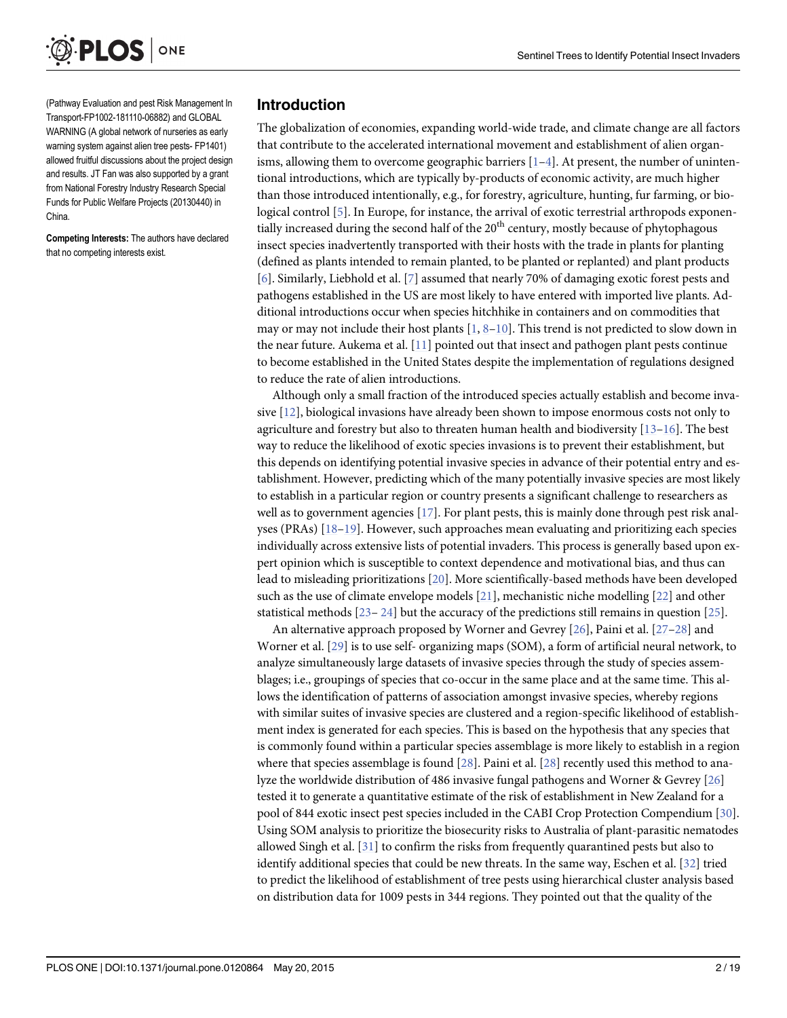<span id="page-1-0"></span>

(Pathway Evaluation and pest Risk Management In Transport-FP1002-181110-06882) and GLOBAL WARNING (A global network of nurseries as early warning system against alien tree pests- FP1401) allowed fruitful discussions about the project design and results. JT Fan was also supported by a grant from National Forestry Industry Research Special Funds for Public Welfare Projects (20130440) in China.

Competing Interests: The authors have declared that no competing interests exist.

# Introduction

The globalization of economies, expanding world-wide trade, and climate change are all factors that contribute to the accelerated international movement and establishment of alien organisms, allowing them to overcome geographic barriers  $[1-4]$  $[1-4]$  $[1-4]$  $[1-4]$  $[1-4]$ . At present, the number of unintentional introductions, which are typically by-products of economic activity, are much higher than those introduced intentionally, e.g., for forestry, agriculture, hunting, fur farming, or bio-logical control [\[5](#page-16-0)]. In Europe, for instance, the arrival of exotic terrestrial arthropods exponentially increased during the second half of the  $20<sup>th</sup>$  century, mostly because of phytophagous insect species inadvertently transported with their hosts with the trade in plants for planting (defined as plants intended to remain planted, to be planted or replanted) and plant products [\[6](#page-16-0)]. Similarly, Liebhold et al. [[7](#page-16-0)] assumed that nearly 70% of damaging exotic forest pests and pathogens established in the US are most likely to have entered with imported live plants. Additional introductions occur when species hitchhike in containers and on commodities that may or may not include their host plants  $[1, 8-10]$  $[1, 8-10]$  $[1, 8-10]$  $[1, 8-10]$  $[1, 8-10]$  $[1, 8-10]$  $[1, 8-10]$ . This trend is not predicted to slow down in the near future. Aukema et al.  $[11]$  pointed out that insect and pathogen plant pests continue to become established in the United States despite the implementation of regulations designed to reduce the rate of alien introductions.

Although only a small fraction of the introduced species actually establish and become invasive [[12](#page-16-0)], biological invasions have already been shown to impose enormous costs not only to agriculture and forestry but also to threaten human health and biodiversity  $[13-16]$  $[13-16]$  $[13-16]$ . The best way to reduce the likelihood of exotic species invasions is to prevent their establishment, but this depends on identifying potential invasive species in advance of their potential entry and establishment. However, predicting which of the many potentially invasive species are most likely to establish in a particular region or country presents a significant challenge to researchers as well as to government agencies [[17](#page-17-0)]. For plant pests, this is mainly done through pest risk analyses (PRAs)  $[18-19]$  $[18-19]$  $[18-19]$  $[18-19]$ . However, such approaches mean evaluating and prioritizing each species individually across extensive lists of potential invaders. This process is generally based upon expert opinion which is susceptible to context dependence and motivational bias, and thus can lead to misleading prioritizations [\[20\]](#page-17-0). More scientifically-based methods have been developed such as the use of climate envelope models [[21](#page-17-0)], mechanistic niche modelling [[22](#page-17-0)] and other statistical methods  $[23 - 24]$  $[23 - 24]$  $[23 - 24]$  but the accuracy of the predictions still remains in question  $[25]$ .

An alternative approach proposed by Worner and Gevrey  $[26]$ , Paini et al.  $[27-28]$  $[27-28]$  $[27-28]$  $[27-28]$  and Worner et al. [[29](#page-17-0)] is to use self- organizing maps (SOM), a form of artificial neural network, to analyze simultaneously large datasets of invasive species through the study of species assemblages; i.e., groupings of species that co-occur in the same place and at the same time. This allows the identification of patterns of association amongst invasive species, whereby regions with similar suites of invasive species are clustered and a region-specific likelihood of establishment index is generated for each species. This is based on the hypothesis that any species that is commonly found within a particular species assemblage is more likely to establish in a region where that species assemblage is found  $[28]$  $[28]$  $[28]$ . Paini et al.  $[28]$  recently used this method to analyze the worldwide distribution of 486 invasive fungal pathogens and Worner & Gevrey [[26\]](#page-17-0) tested it to generate a quantitative estimate of the risk of establishment in New Zealand for a pool of 844 exotic insect pest species included in the CABI Crop Protection Compendium [\[30\]](#page-17-0). Using SOM analysis to prioritize the biosecurity risks to Australia of plant-parasitic nematodes allowed Singh et al. [[31](#page-17-0)] to confirm the risks from frequently quarantined pests but also to identify additional species that could be new threats. In the same way, Eschen et al. [[32\]](#page-17-0) tried to predict the likelihood of establishment of tree pests using hierarchical cluster analysis based on distribution data for 1009 pests in 344 regions. They pointed out that the quality of the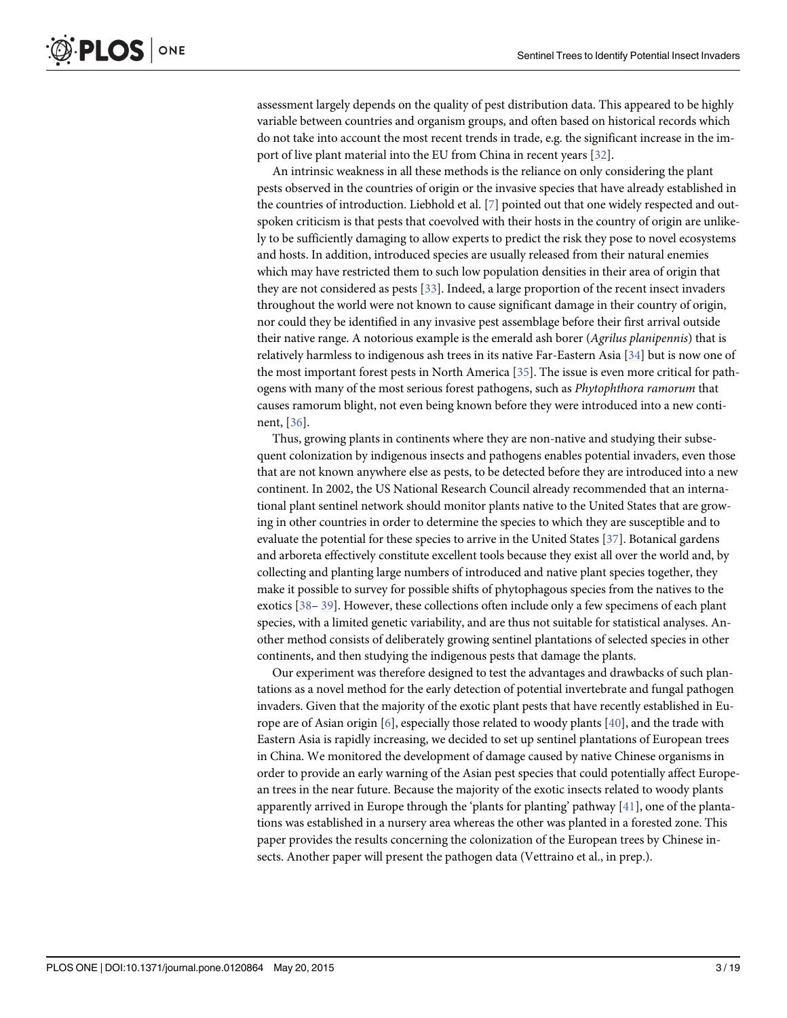<span id="page-2-0"></span>assessment largely depends on the quality of pest distribution data. This appeared to be highly variable between countries and organism groups, and often based on historical records which do not take into account the most recent trends in trade, e.g. the significant increase in the import of live plant material into the EU from China in recent years [[32](#page-17-0)].

An intrinsic weakness in all these methods is the reliance on only considering the plant pests observed in the countries of origin or the invasive species that have already established in the countries of introduction. Liebhold et al. [\[7\]](#page-16-0) pointed out that one widely respected and outspoken criticism is that pests that coevolved with their hosts in the country of origin are unlikely to be sufficiently damaging to allow experts to predict the risk they pose to novel ecosystems and hosts. In addition, introduced species are usually released from their natural enemies which may have restricted them to such low population densities in their area of origin that they are not considered as pests [\[33\]](#page-17-0). Indeed, a large proportion of the recent insect invaders throughout the world were not known to cause significant damage in their country of origin, nor could they be identified in any invasive pest assemblage before their first arrival outside their native range. A notorious example is the emerald ash borer (Agrilus planipennis) that is relatively harmless to indigenous ash trees in its native Far-Eastern Asia [[34\]](#page-17-0) but is now one of the most important forest pests in North America [\[35\]](#page-17-0). The issue is even more critical for pathogens with many of the most serious forest pathogens, such as Phytophthora ramorum that causes ramorum blight, not even being known before they were introduced into a new continent, [[36](#page-17-0)].

Thus, growing plants in continents where they are non-native and studying their subsequent colonization by indigenous insects and pathogens enables potential invaders, even those that are not known anywhere else as pests, to be detected before they are introduced into a new continent. In 2002, the US National Research Council already recommended that an international plant sentinel network should monitor plants native to the United States that are growing in other countries in order to determine the species to which they are susceptible and to evaluate the potential for these species to arrive in the United States [[37\]](#page-17-0). Botanical gardens and arboreta effectively constitute excellent tools because they exist all over the world and, by collecting and planting large numbers of introduced and native plant species together, they make it possible to survey for possible shifts of phytophagous species from the natives to the exotics [[38](#page-18-0)– [39](#page-18-0)]. However, these collections often include only a few specimens of each plant species, with a limited genetic variability, and are thus not suitable for statistical analyses. Another method consists of deliberately growing sentinel plantations of selected species in other continents, and then studying the indigenous pests that damage the plants.

Our experiment was therefore designed to test the advantages and drawbacks of such plantations as a novel method for the early detection of potential invertebrate and fungal pathogen invaders. Given that the majority of the exotic plant pests that have recently established in Europe are of Asian origin  $[6]$  $[6]$ , especially those related to woody plants  $[40]$  $[40]$  $[40]$ , and the trade with Eastern Asia is rapidly increasing, we decided to set up sentinel plantations of European trees in China. We monitored the development of damage caused by native Chinese organisms in order to provide an early warning of the Asian pest species that could potentially affect European trees in the near future. Because the majority of the exotic insects related to woody plants apparently arrived in Europe through the 'plants for planting' pathway  $[41]$  $[41]$  $[41]$ , one of the plantations was established in a nursery area whereas the other was planted in a forested zone. This paper provides the results concerning the colonization of the European trees by Chinese insects. Another paper will present the pathogen data (Vettraino et al., in prep.).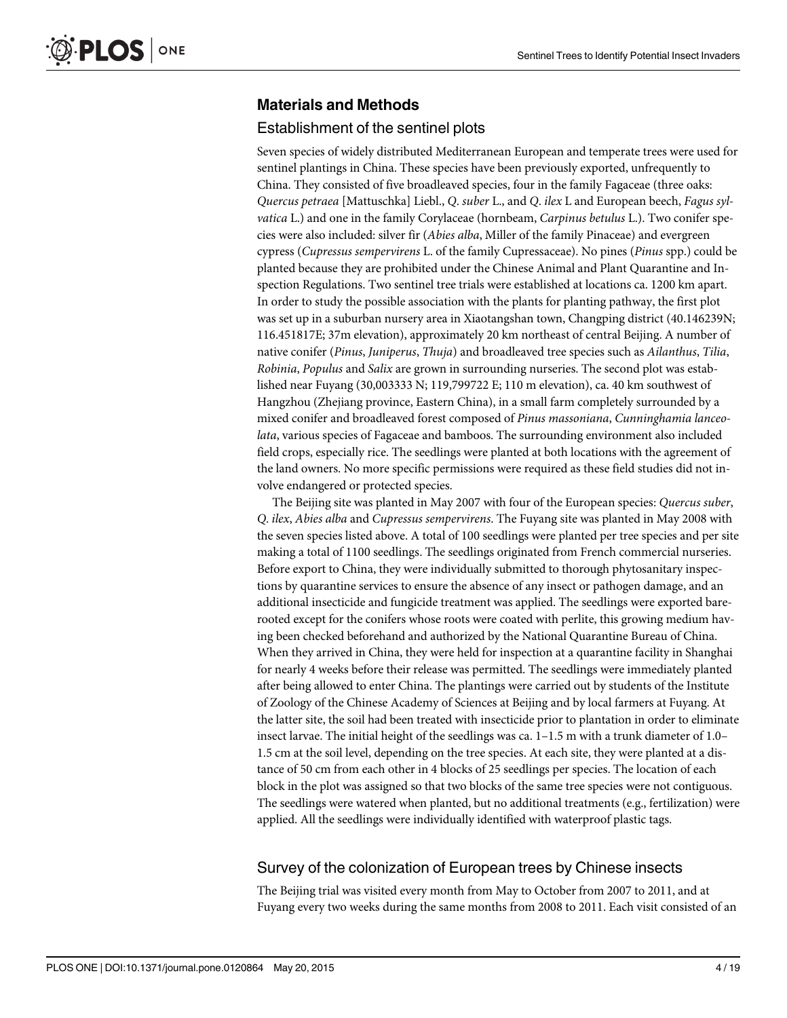# Materials and Methods

#### Establishment of the sentinel plots

Seven species of widely distributed Mediterranean European and temperate trees were used for sentinel plantings in China. These species have been previously exported, unfrequently to China. They consisted of five broadleaved species, four in the family Fagaceae (three oaks: Quercus petraea [Mattuschka] Liebl., Q. suber L., and Q. ilex L and European beech, Fagus sylvatica L.) and one in the family Corylaceae (hornbeam, Carpinus betulus L.). Two conifer species were also included: silver fir (Abies alba, Miller of the family Pinaceae) and evergreen cypress (Cupressus sempervirens L. of the family Cupressaceae). No pines (Pinus spp.) could be planted because they are prohibited under the Chinese Animal and Plant Quarantine and Inspection Regulations. Two sentinel tree trials were established at locations ca. 1200 km apart. In order to study the possible association with the plants for planting pathway, the first plot was set up in a suburban nursery area in Xiaotangshan town, Changping district (40.146239N; 116.451817E; 37m elevation), approximately 20 km northeast of central Beijing. A number of native conifer (Pinus, Juniperus, Thuja) and broadleaved tree species such as Ailanthus, Tilia, Robinia, Populus and Salix are grown in surrounding nurseries. The second plot was established near Fuyang (30,003333 N; 119,799722 E; 110 m elevation), ca. 40 km southwest of Hangzhou (Zhejiang province, Eastern China), in a small farm completely surrounded by a mixed conifer and broadleaved forest composed of Pinus massoniana, Cunninghamia lanceolata, various species of Fagaceae and bamboos. The surrounding environment also included field crops, especially rice. The seedlings were planted at both locations with the agreement of the land owners. No more specific permissions were required as these field studies did not involve endangered or protected species.

The Beijing site was planted in May 2007 with four of the European species: Quercus suber, Q. ilex, Abies alba and Cupressus sempervirens. The Fuyang site was planted in May 2008 with the seven species listed above. A total of 100 seedlings were planted per tree species and per site making a total of 1100 seedlings. The seedlings originated from French commercial nurseries. Before export to China, they were individually submitted to thorough phytosanitary inspections by quarantine services to ensure the absence of any insect or pathogen damage, and an additional insecticide and fungicide treatment was applied. The seedlings were exported barerooted except for the conifers whose roots were coated with perlite, this growing medium having been checked beforehand and authorized by the National Quarantine Bureau of China. When they arrived in China, they were held for inspection at a quarantine facility in Shanghai for nearly 4 weeks before their release was permitted. The seedlings were immediately planted after being allowed to enter China. The plantings were carried out by students of the Institute of Zoology of the Chinese Academy of Sciences at Beijing and by local farmers at Fuyang. At the latter site, the soil had been treated with insecticide prior to plantation in order to eliminate insect larvae. The initial height of the seedlings was ca. 1–1.5 m with a trunk diameter of 1.0– 1.5 cm at the soil level, depending on the tree species. At each site, they were planted at a distance of 50 cm from each other in 4 blocks of 25 seedlings per species. The location of each block in the plot was assigned so that two blocks of the same tree species were not contiguous. The seedlings were watered when planted, but no additional treatments (e.g., fertilization) were applied. All the seedlings were individually identified with waterproof plastic tags.

### Survey of the colonization of European trees by Chinese insects

The Beijing trial was visited every month from May to October from 2007 to 2011, and at Fuyang every two weeks during the same months from 2008 to 2011. Each visit consisted of an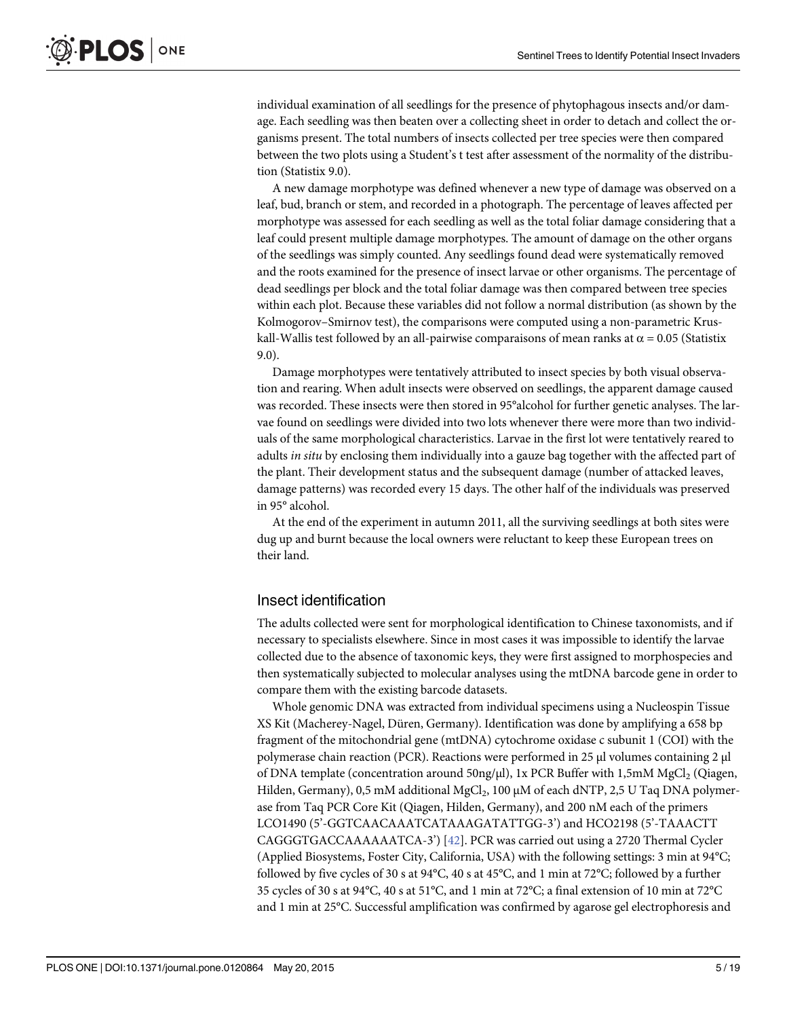<span id="page-4-0"></span>individual examination of all seedlings for the presence of phytophagous insects and/or damage. Each seedling was then beaten over a collecting sheet in order to detach and collect the organisms present. The total numbers of insects collected per tree species were then compared between the two plots using a Student's t test after assessment of the normality of the distribution (Statistix 9.0).

A new damage morphotype was defined whenever a new type of damage was observed on a leaf, bud, branch or stem, and recorded in a photograph. The percentage of leaves affected per morphotype was assessed for each seedling as well as the total foliar damage considering that a leaf could present multiple damage morphotypes. The amount of damage on the other organs of the seedlings was simply counted. Any seedlings found dead were systematically removed and the roots examined for the presence of insect larvae or other organisms. The percentage of dead seedlings per block and the total foliar damage was then compared between tree species within each plot. Because these variables did not follow a normal distribution (as shown by the Kolmogorov–Smirnov test), the comparisons were computed using a non-parametric Kruskall-Wallis test followed by an all-pairwise comparaisons of mean ranks at  $\alpha$  = 0.05 (Statistix 9.0).

Damage morphotypes were tentatively attributed to insect species by both visual observation and rearing. When adult insects were observed on seedlings, the apparent damage caused was recorded. These insects were then stored in 95°alcohol for further genetic analyses. The larvae found on seedlings were divided into two lots whenever there were more than two individuals of the same morphological characteristics. Larvae in the first lot were tentatively reared to adults in situ by enclosing them individually into a gauze bag together with the affected part of the plant. Their development status and the subsequent damage (number of attacked leaves, damage patterns) was recorded every 15 days. The other half of the individuals was preserved in 95° alcohol.

At the end of the experiment in autumn 2011, all the surviving seedlings at both sites were dug up and burnt because the local owners were reluctant to keep these European trees on their land.

# Insect identification

The adults collected were sent for morphological identification to Chinese taxonomists, and if necessary to specialists elsewhere. Since in most cases it was impossible to identify the larvae collected due to the absence of taxonomic keys, they were first assigned to morphospecies and then systematically subjected to molecular analyses using the mtDNA barcode gene in order to compare them with the existing barcode datasets.

Whole genomic DNA was extracted from individual specimens using a Nucleospin Tissue XS Kit (Macherey-Nagel, Düren, Germany). Identification was done by amplifying a 658 bp fragment of the mitochondrial gene (mtDNA) cytochrome oxidase c subunit 1 (COI) with the polymerase chain reaction (PCR). Reactions were performed in 25 μl volumes containing 2 μl of DNA template (concentration around  $50$ ng/ $\mu$ l), 1x PCR Buffer with 1,5mM MgCl<sub>2</sub> (Qiagen, Hilden, Germany), 0,5 mM additional MgCl<sub>2</sub>, 100 μM of each dNTP, 2,5 U Taq DNA polymerase from Taq PCR Core Kit (Qiagen, Hilden, Germany), and 200 nM each of the primers LCO1490 (5'-GGTCAACAAATCATAAAGATATTGG-3') and HCO2198 (5'-TAAACTT CAGGGTGACCAAAAAATCA-3') [\[42](#page-18-0)]. PCR was carried out using a 2720 Thermal Cycler (Applied Biosystems, Foster City, California, USA) with the following settings: 3 min at 94°C; followed by five cycles of 30 s at 94°C, 40 s at 45°C, and 1 min at 72°C; followed by a further 35 cycles of 30 s at 94°C, 40 s at 51°C, and 1 min at 72°C; a final extension of 10 min at 72°C and 1 min at 25°C. Successful amplification was confirmed by agarose gel electrophoresis and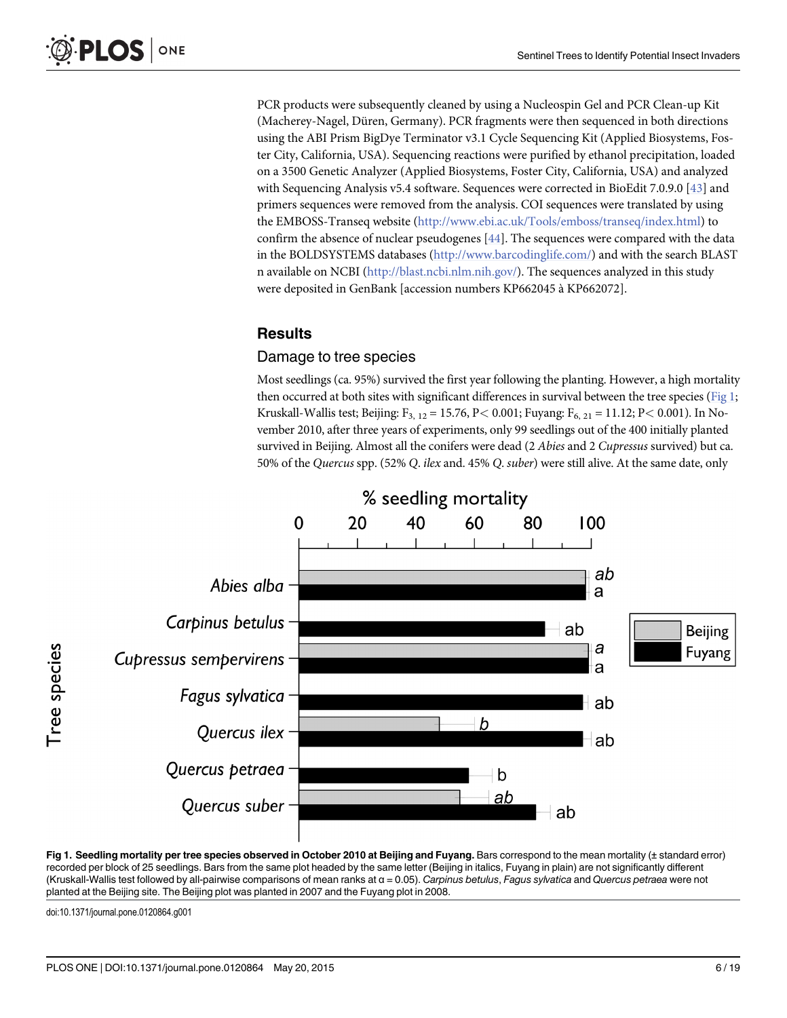<span id="page-5-0"></span>PCR products were subsequently cleaned by using a Nucleospin Gel and PCR Clean-up Kit (Macherey-Nagel, Düren, Germany). PCR fragments were then sequenced in both directions using the ABI Prism BigDye Terminator v3.1 Cycle Sequencing Kit (Applied Biosystems, Foster City, California, USA). Sequencing reactions were purified by ethanol precipitation, loaded on a 3500 Genetic Analyzer (Applied Biosystems, Foster City, California, USA) and analyzed with Sequencing Analysis v5.4 software. Sequences were corrected in BioEdit 7.0.9.0 [\[43\]](#page-18-0) and primers sequences were removed from the analysis. COI sequences were translated by using the EMBOSS-Transeq website [\(http://www.ebi.ac.uk/Tools/emboss/transeq/index.html](http://www.ebi.ac.uk/Tools/emboss/transeq/index.html)) to confirm the absence of nuclear pseudogenes  $[44]$  $[44]$ . The sequences were compared with the data in the BOLDSYSTEMS databases [\(http://www.barcodinglife.com/](http://www.barcodinglife.com/)) and with the search BLAST n available on NCBI (<http://blast.ncbi.nlm.nih.gov/>). The sequences analyzed in this study were deposited in GenBank [accession numbers KP662045 à KP662072].

# **Results**

#### Damage to tree species

Most seedlings (ca. 95%) survived the first year following the planting. However, a high mortality then occurred at both sites with significant differences in survival between the tree species ( $Fig 1$ ; Kruskall-Wallis test; Beijing: F<sub>3, 12</sub> = 15.76, P < 0.001; Fuyang: F<sub>6, 21</sub> = 11.12; P < 0.001). In November 2010, after three years of experiments, only 99 seedlings out of the 400 initially planted survived in Beijing. Almost all the conifers were dead (2 Abies and 2 Cupressus survived) but ca. 50% of the Quercus spp. (52% Q. ilex and. 45% Q. suber) were still alive. At the same date, only



Fig 1. Seedling mortality per tree species observed in October 2010 at Beijing and Fuyang. Bars correspond to the mean mortality (± standard error) recorded per block of 25 seedlings. Bars from the same plot headed by the same letter (Beijing in italics, Fuyang in plain) are not significantly different (Kruskall-Wallis test followed by all-pairwise comparisons of mean ranks at  $\alpha$  = 0.05). Carpinus betulus, Fagus sylvatica and Quercus petraea were not planted at the Beijing site. The Beijing plot was planted in 2007 and the Fuyang plot in 2008.

doi:10.1371/journal.pone.0120864.g001

PLOS ONE | DOI:10.1371/journal.pone.0120864 May 20, 2015 6 / 19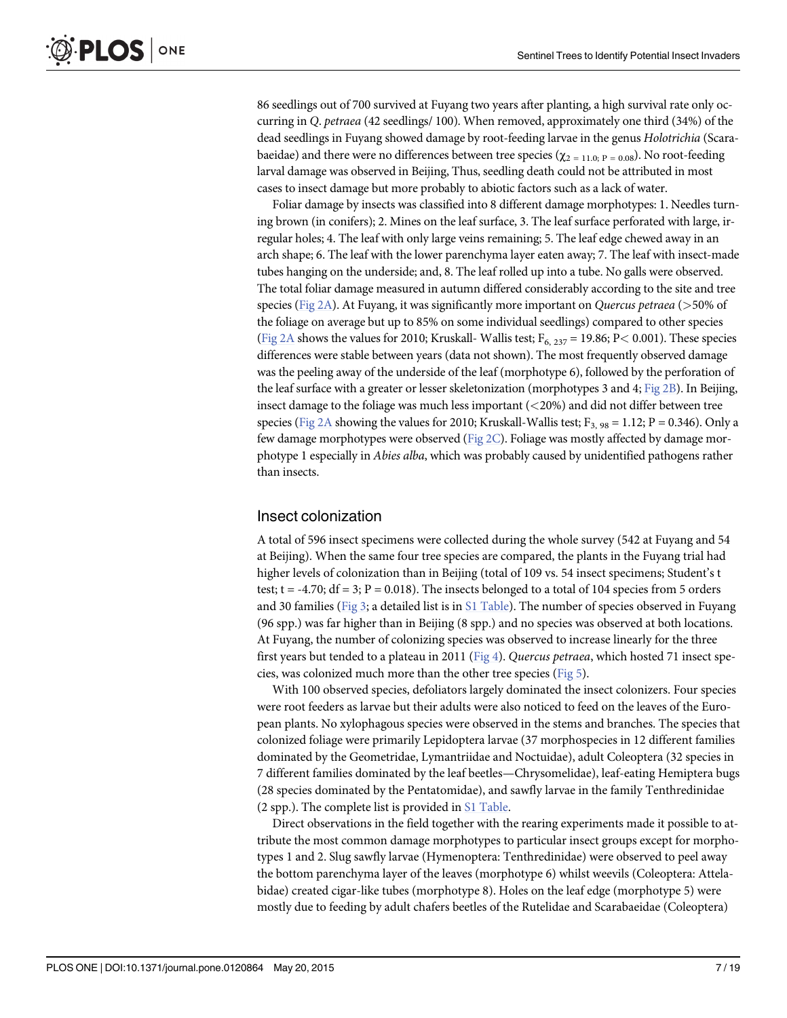<span id="page-6-0"></span>86 seedlings out of 700 survived at Fuyang two years after planting, a high survival rate only occurring in Q. petraea (42 seedlings/ 100). When removed, approximately one third (34%) of the dead seedlings in Fuyang showed damage by root-feeding larvae in the genus Holotrichia (Scarabaeidae) and there were no differences between tree species ( $\chi_{2=11.0; P=0.08}$ ). No root-feeding larval damage was observed in Beijing, Thus, seedling death could not be attributed in most cases to insect damage but more probably to abiotic factors such as a lack of water.

Foliar damage by insects was classified into 8 different damage morphotypes: 1. Needles turning brown (in conifers); 2. Mines on the leaf surface, 3. The leaf surface perforated with large, irregular holes; 4. The leaf with only large veins remaining; 5. The leaf edge chewed away in an arch shape; 6. The leaf with the lower parenchyma layer eaten away; 7. The leaf with insect-made tubes hanging on the underside; and, 8. The leaf rolled up into a tube. No galls were observed. The total foliar damage measured in autumn differed considerably according to the site and tree species ([Fig 2A\)](#page-8-0). At Fuyang, it was significantly more important on Quercus petraea ( $>$ 50% of the foliage on average but up to 85% on some individual seedlings) compared to other species [\(Fig 2A](#page-8-0) shows the values for 2010; Kruskall- Wallis test;  $F_{6, 237} = 19.86$ ; P< 0.001). These species differences were stable between years (data not shown). The most frequently observed damage was the peeling away of the underside of the leaf (morphotype 6), followed by the perforation of the leaf surface with a greater or lesser skeletonization (morphotypes 3 and 4; [Fig 2B](#page-8-0)). In Beijing, insect damage to the foliage was much less important  $\left( \langle 20\% \rangle \right)$  and did not differ between tree species ([Fig 2A](#page-8-0) showing the values for 2010; Kruskall-Wallis test;  $F_{3.98} = 1.12$ ; P = 0.346). Only a few damage morphotypes were observed ([Fig 2C](#page-8-0)). Foliage was mostly affected by damage morphotype 1 especially in Abies alba, which was probably caused by unidentified pathogens rather than insects.

# Insect colonization

A total of 596 insect specimens were collected during the whole survey (542 at Fuyang and 54 at Beijing). When the same four tree species are compared, the plants in the Fuyang trial had higher levels of colonization than in Beijing (total of 109 vs. 54 insect specimens; Student's t test;  $t = -4.70$ ;  $df = 3$ ;  $P = 0.018$ ). The insects belonged to a total of 104 species from 5 orders and 30 families ([Fig 3;](#page-8-0) a detailed list is in [S1 Table](#page-16-0)). The number of species observed in Fuyang (96 spp.) was far higher than in Beijing (8 spp.) and no species was observed at both locations. At Fuyang, the number of colonizing species was observed to increase linearly for the three first years but tended to a plateau in 2011 ( $Fig 4$ ). Quercus petraea, which hosted 71 insect species, was colonized much more than the other tree species ([Fig 5\)](#page-13-0).

With 100 observed species, defoliators largely dominated the insect colonizers. Four species were root feeders as larvae but their adults were also noticed to feed on the leaves of the European plants. No xylophagous species were observed in the stems and branches. The species that colonized foliage were primarily Lepidoptera larvae (37 morphospecies in 12 different families dominated by the Geometridae, Lymantriidae and Noctuidae), adult Coleoptera (32 species in 7 different families dominated by the leaf beetles—Chrysomelidae), leaf-eating Hemiptera bugs (28 species dominated by the Pentatomidae), and sawfly larvae in the family Tenthredinidae (2 spp.). The complete list is provided in [S1 Table](#page-16-0).

Direct observations in the field together with the rearing experiments made it possible to attribute the most common damage morphotypes to particular insect groups except for morphotypes 1 and 2. Slug sawfly larvae (Hymenoptera: Tenthredinidae) were observed to peel away the bottom parenchyma layer of the leaves (morphotype 6) whilst weevils (Coleoptera: Attelabidae) created cigar-like tubes (morphotype 8). Holes on the leaf edge (morphotype 5) were mostly due to feeding by adult chafers beetles of the Rutelidae and Scarabaeidae (Coleoptera)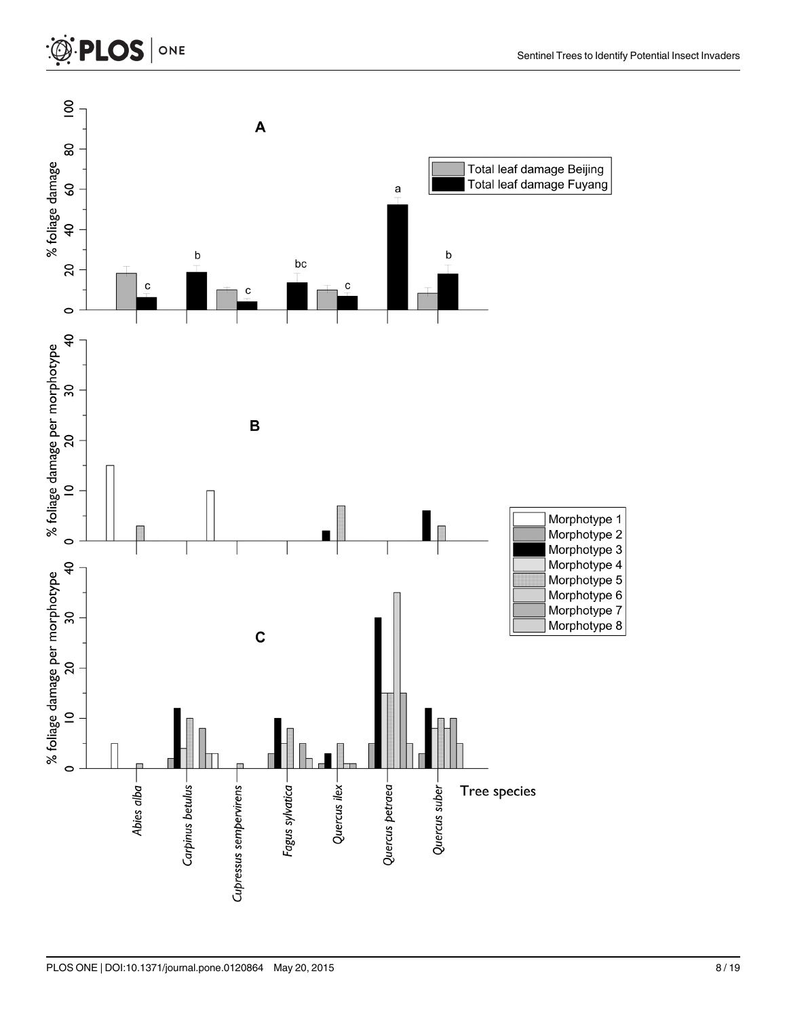

O PLOS ONE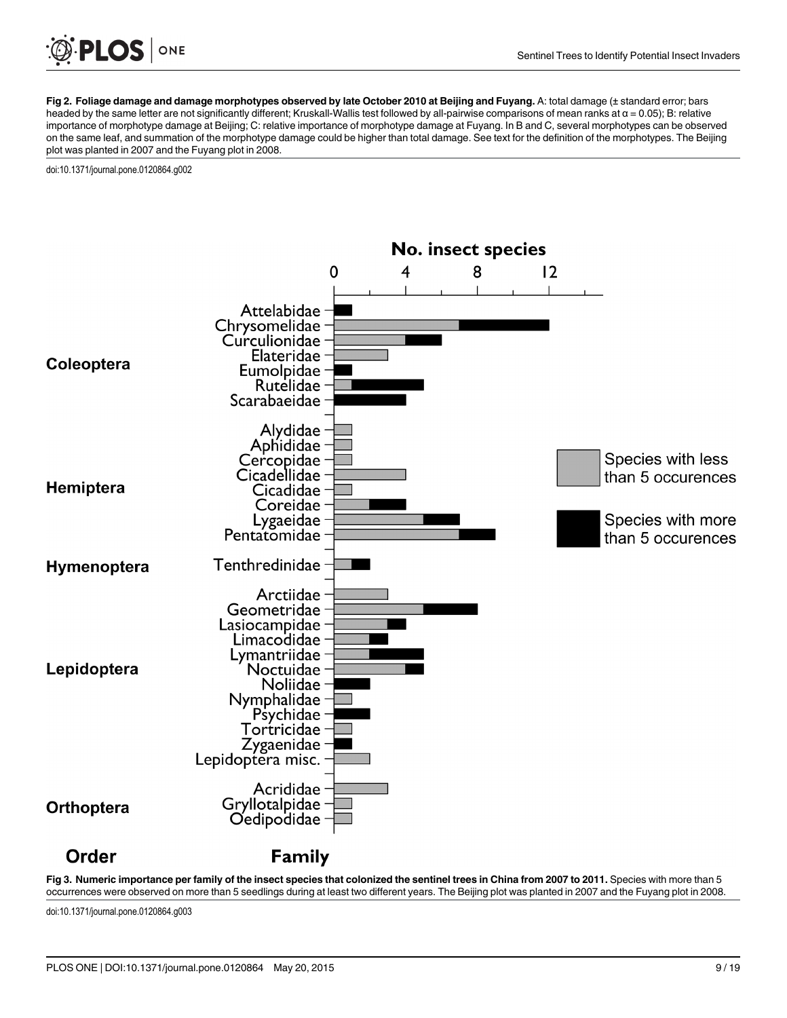[Fig 2. F](#page-6-0)oliage damage and damage morphotypes observed by late October 2010 at Beijing and Fuyang. A: total damage (± standard error; bars headed by the same letter are not significantly different; Kruskall-Wallis test followed by all-pairwise comparisons of mean ranks at  $\alpha$  = 0.05); B: relative importance of morphotype damage at Beijing; C: relative importance of morphotype damage at Fuyang. In B and C, several morphotypes can be observed on the same leaf, and summation of the morphotype damage could be higher than total damage. See text for the definition of the morphotypes. The Beijing plot was planted in 2007 and the Fuyang plot in 2008.

doi:10.1371/journal.pone.0120864.g002

<span id="page-8-0"></span>**PLOS I** 

ONE



[Fig 3. N](#page-6-0)umeric importance per family of the insect species that colonized the sentinel trees in China from 2007 to 2011. Species with more than 5 occurrences were observed on more than 5 seedlings during at least two different years. The Beijing plot was planted in 2007 and the Fuyang plot in 2008.

doi:10.1371/journal.pone.0120864.g003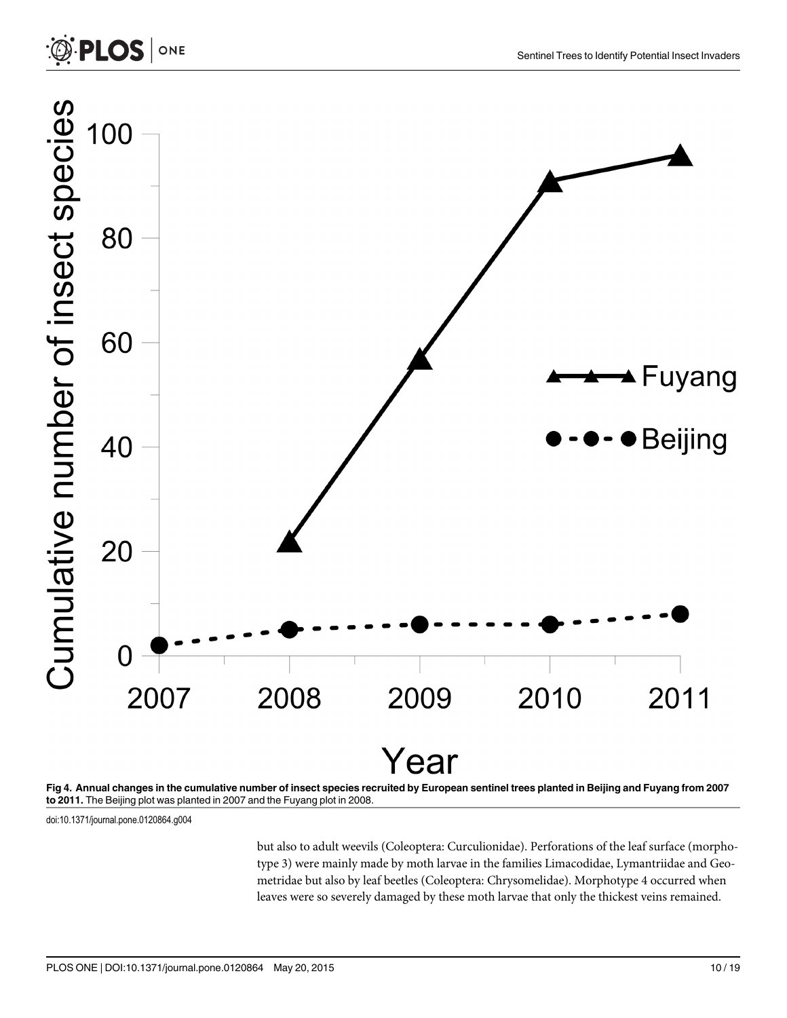<span id="page-9-0"></span>

[Fig 4. A](#page-6-0)nnual changes in the cumulative number of insect species recruited by European sentinel trees planted in Beijing and Fuyang from 2007 to 2011. The Beijing plot was planted in 2007 and the Fuyang plot in 2008.

doi:10.1371/journal.pone.0120864.g004

but also to adult weevils (Coleoptera: Curculionidae). Perforations of the leaf surface (morphotype 3) were mainly made by moth larvae in the families Limacodidae, Lymantriidae and Geometridae but also by leaf beetles (Coleoptera: Chrysomelidae). Morphotype 4 occurred when leaves were so severely damaged by these moth larvae that only the thickest veins remained.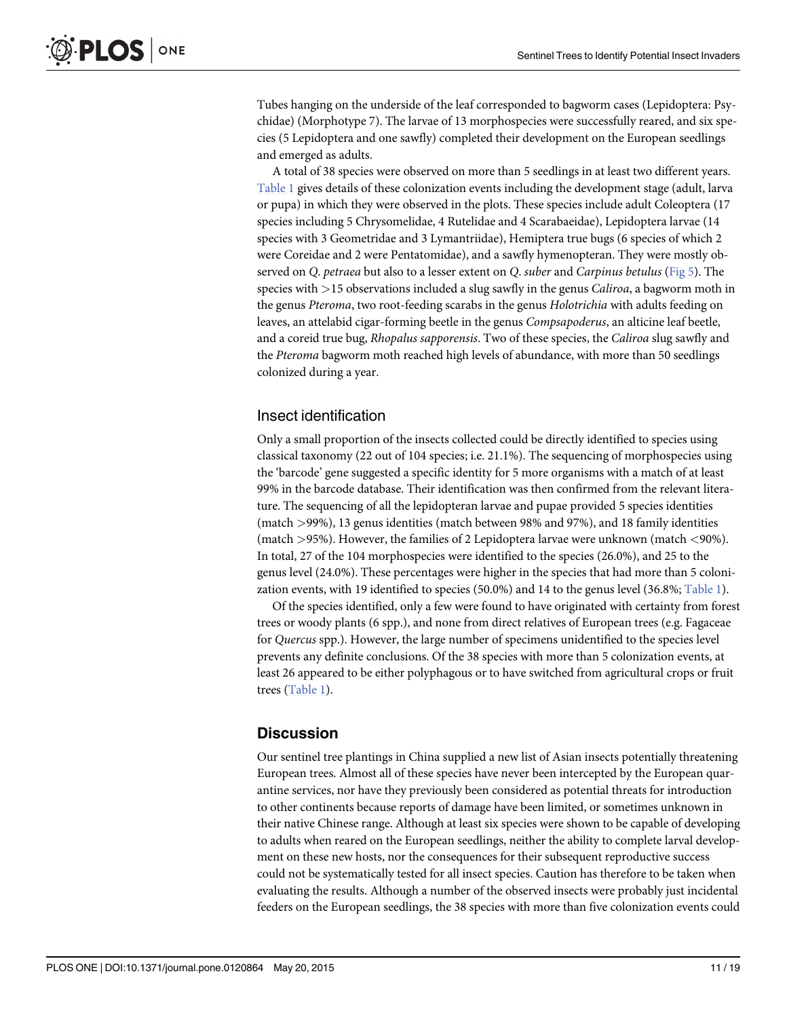<span id="page-10-0"></span>Tubes hanging on the underside of the leaf corresponded to bagworm cases (Lepidoptera: Psychidae) (Morphotype 7). The larvae of 13 morphospecies were successfully reared, and six species (5 Lepidoptera and one sawfly) completed their development on the European seedlings and emerged as adults.

A total of 38 species were observed on more than 5 seedlings in at least two different years. [Table 1](#page-11-0) gives details of these colonization events including the development stage (adult, larva or pupa) in which they were observed in the plots. These species include adult Coleoptera (17 species including 5 Chrysomelidae, 4 Rutelidae and 4 Scarabaeidae), Lepidoptera larvae (14 species with 3 Geometridae and 3 Lymantriidae), Hemiptera true bugs (6 species of which 2 were Coreidae and 2 were Pentatomidae), and a sawfly hymenopteran. They were mostly ob-served on Q. petraea but also to a lesser extent on Q. suber and Carpinus betulus ([Fig 5](#page-13-0)). The species with  $>$ 15 observations included a slug sawfly in the genus *Caliroa*, a bagworm moth in the genus Pteroma, two root-feeding scarabs in the genus Holotrichia with adults feeding on leaves, an attelabid cigar-forming beetle in the genus Compsapoderus, an alticine leaf beetle, and a coreid true bug, Rhopalus sapporensis. Two of these species, the Caliroa slug sawfly and the Pteroma bagworm moth reached high levels of abundance, with more than 50 seedlings colonized during a year.

# Insect identification

Only a small proportion of the insects collected could be directly identified to species using classical taxonomy (22 out of 104 species; i.e. 21.1%). The sequencing of morphospecies using the 'barcode' gene suggested a specific identity for 5 more organisms with a match of at least 99% in the barcode database. Their identification was then confirmed from the relevant literature. The sequencing of all the lepidopteran larvae and pupae provided 5 species identities (match >99%), 13 genus identities (match between 98% and 97%), and 18 family identities (match >95%). However, the families of 2 Lepidoptera larvae were unknown (match <90%). In total, 27 of the 104 morphospecies were identified to the species (26.0%), and 25 to the genus level (24.0%). These percentages were higher in the species that had more than 5 colonization events, with 19 identified to species (50.0%) and 14 to the genus level (36.8%; [Table 1\)](#page-11-0).

Of the species identified, only a few were found to have originated with certainty from forest trees or woody plants (6 spp.), and none from direct relatives of European trees (e.g. Fagaceae for Quercus spp.). However, the large number of specimens unidentified to the species level prevents any definite conclusions. Of the 38 species with more than 5 colonization events, at least 26 appeared to be either polyphagous or to have switched from agricultural crops or fruit trees [\(Table 1\)](#page-11-0).

# **Discussion**

Our sentinel tree plantings in China supplied a new list of Asian insects potentially threatening European trees. Almost all of these species have never been intercepted by the European quarantine services, nor have they previously been considered as potential threats for introduction to other continents because reports of damage have been limited, or sometimes unknown in their native Chinese range. Although at least six species were shown to be capable of developing to adults when reared on the European seedlings, neither the ability to complete larval development on these new hosts, nor the consequences for their subsequent reproductive success could not be systematically tested for all insect species. Caution has therefore to be taken when evaluating the results. Although a number of the observed insects were probably just incidental feeders on the European seedlings, the 38 species with more than five colonization events could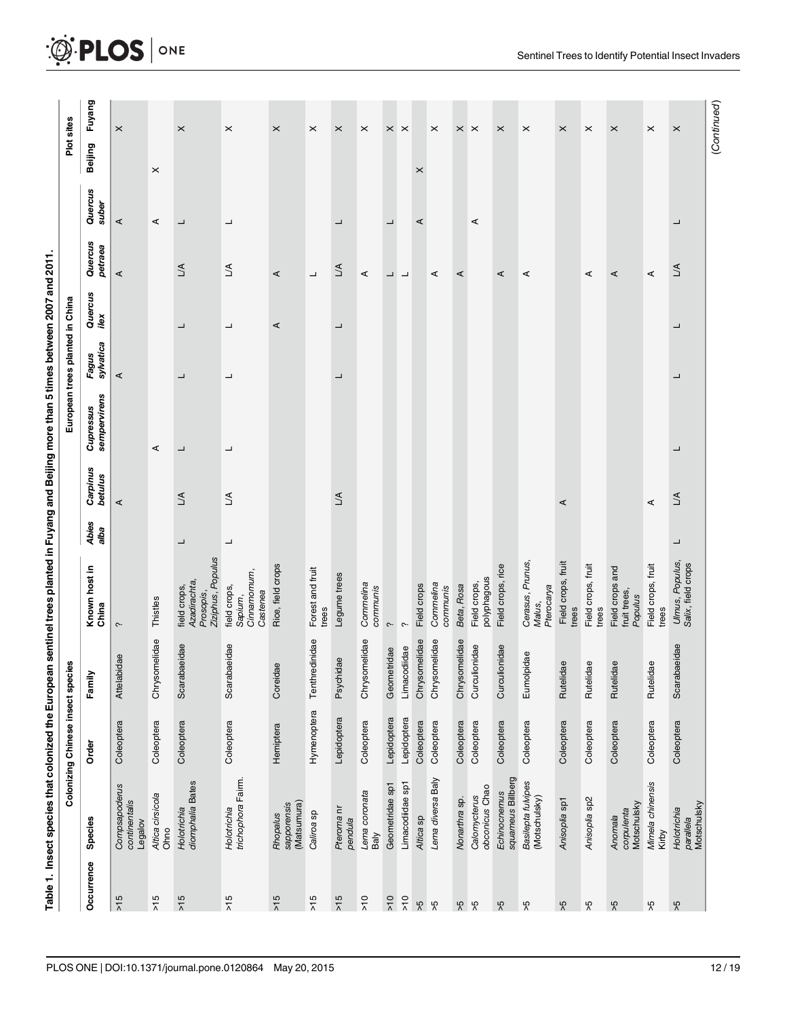<span id="page-11-0"></span>

|                     |                                                | Colonizing Chinese insect species |                       |                                                               |                      |                         |                           | European trees planted in China |                 |                          |                  | Plot sites |                   |
|---------------------|------------------------------------------------|-----------------------------------|-----------------------|---------------------------------------------------------------|----------------------|-------------------------|---------------------------|---------------------------------|-----------------|--------------------------|------------------|------------|-------------------|
| Occurrence          | Species                                        | Order                             | ≥<br>Fami             | Known host in<br>China                                        | <b>Abies</b><br>alba | Carpinus<br>betulus     | sempervirens<br>Cupressus | Fagus<br>sylvatica              | Quercus<br>ilex | Quercus<br>petraea       | Quercus<br>suber | Beijing    | Fuyang            |
| >15                 | Compsapoderus<br>continentalis<br>Legalov      | Coleoptera                        | Attelabidae           | $\sim$                                                        |                      | ⋖                       |                           | ⋖                               |                 | ⋖                        | ⋖                |            | $\times$          |
| >15                 | Altica cirsicola<br>Ohno                       | Coleoptera                        | Chrysomelidae         | Thistles                                                      |                      |                         | ⋖                         |                                 |                 |                          | $\prec$          | $\times$   |                   |
| >15                 | diomphalia Bates<br>Holotrichia                | Coleoptera                        | Scarabaeidae          | Ziziphus, Populus<br>Azadirachta<br>field crops,<br>Prosopis, |                      | $\overline{\mathbb{A}}$ | ┙                         | ┙                               | ┙               | V7                       |                  |            | $\times$          |
| >15                 | trichophora Fairm.<br>Holotrichia              | Coleoptera                        | baeidae<br>Scara      | Cinnamomum,<br>field crops,<br>Castenea<br>Sapium,            | ┙                    | N                       | ᆜ                         | ┙                               | ┙               | LΆ                       | ┙                |            | $\times$          |
| >15                 | (Matsumura)<br>sapporensis<br>Rhopalus         | Hemiptera                         | Coreidae              | Rice, field crops                                             |                      |                         |                           |                                 | $\prec$         | $\prec$                  |                  |            | $\times$          |
| >15                 | Caliroa sp                                     | Hymenoptera                       | redinidae<br>Tenth    | Forest and fruit<br>trees                                     |                      |                         |                           |                                 |                 | $\overline{\phantom{a}}$ |                  |            | $\times$          |
| $\frac{5}{1}$       | Pteroma nr<br>pendula                          | Lepidoptera                       | Psychidae             | Legume trees                                                  |                      | $\mathbb{A}$            |                           | ┙                               | ┙               | L/A                      | ┙                |            | $\pmb{\times}$    |
| $\frac{1}{2}$       | Lema coronata<br>Baly                          | Coleoptera                        | Chrysomelidae         | Commelina<br>communis                                         |                      |                         |                           |                                 |                 | ⋖                        |                  |            | $\times$          |
| $\frac{1}{2}$       | Geometridae sp1                                | Lepidoptera                       | Geometridae           | $\sim$                                                        |                      |                         |                           |                                 |                 | ┙                        | ᆜ                |            | $\times$ $\times$ |
| $\frac{0}{2}$       | Limacodiidae sp1                               | Lepidoptera                       | Limacodiidae          | ç.                                                            |                      |                         |                           |                                 |                 | $\overline{\phantom{a}}$ |                  |            |                   |
| ά<                  | Altica sp                                      | Coleoptera                        | Chrysomelidae         | Field crops                                                   |                      |                         |                           |                                 |                 |                          | ⋖                | $\times$   |                   |
| $\frac{1}{\lambda}$ | Lema diversa Baly                              | Coleoptera                        | Chrysomelidae         | Commelina<br>communis                                         |                      |                         |                           |                                 |                 | ⋖                        |                  |            | $\times$          |
| ά<                  | Nonarthra sp.                                  | Coleoptera                        | Chrysomelidae         | Beta, Rosa                                                    |                      |                         |                           |                                 |                 | ⋖                        |                  |            | $\times$          |
| $\frac{5}{2}$       | obconicus Chao<br>Calomycterus                 | Coleoptera                        | Curculionidae         | polyphagous<br>Field crops,                                   |                      |                         |                           |                                 |                 |                          | ⋖                |            | $\times$          |
| ά<                  | squameus Billberg<br>Echinocnemus              | Coleoptera                        | Curculionidae         | Field crops, rice                                             |                      |                         |                           |                                 |                 | ⋖                        |                  |            | $\times$          |
| λč                  | Basilepta fulvipes<br>(Motschulsky)            | Coleoptera                        | Eumolpidae            | Cerasus, Prunus<br>Pterocarya<br>Malus,                       |                      |                         |                           |                                 |                 | ⋖                        |                  |            | $\times$          |
| ά<                  | Anisoplia sp1                                  | Coleoptera                        | idae<br>Ruteli        | Field crops, fruit<br>trees                                   |                      | ⋖                       |                           |                                 |                 |                          |                  |            | $\times$          |
| ά                   | Anisoplia sp2                                  | Coleoptera                        | Rutelidae             | Field crops, fruit<br>trees                                   |                      |                         |                           |                                 |                 | ⋖                        |                  |            | $\times$          |
| άç                  | Motschulsky<br>corpulenta<br>Anomala           | Coleoptera                        | idae<br><b>Ruteli</b> | Field crops and<br>fruit trees,<br>Populus                    |                      |                         |                           |                                 |                 | ⋖                        |                  |            | $\pmb{\times}$    |
| ۵k                  | Mimela chinensis<br>Kirby                      | Coleoptera                        | Rutelidae             | Field crops, fruit<br>trees                                   |                      | ⋖                       |                           |                                 |                 | ⋖                        |                  |            | $\times$          |
| ά<                  | <i>parallela</i><br>Motschulsky<br>Holotrichia | Coleoptera                        | Scarabaeidae          | Ulmus, Populus,<br>Salix, field crops                         |                      | $\overline{\mathbb{A}}$ |                           |                                 |                 | L/A                      |                  |            | $\times$          |
|                     |                                                |                                   |                       |                                                               |                      |                         |                           |                                 |                 |                          |                  |            | (Continued)       |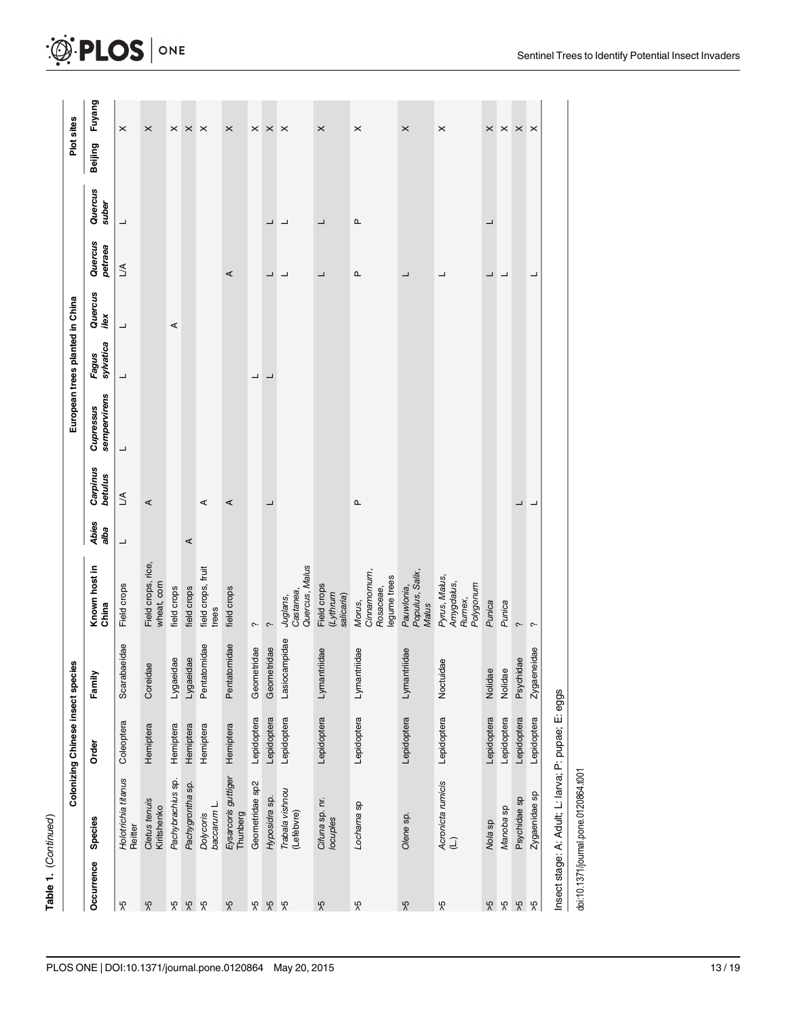| ç<br>ı |  |
|--------|--|

|               |                                                     | Colonizing Chinese insect speci | ΘS                 |                                                    |                          |                     |                           | European trees planted in China |                          |                         |                          | Plot sites |          |
|---------------|-----------------------------------------------------|---------------------------------|--------------------|----------------------------------------------------|--------------------------|---------------------|---------------------------|---------------------------------|--------------------------|-------------------------|--------------------------|------------|----------|
| Occurrence    | Species                                             | Order                           | Family             | Known host in<br>China                             | Abies<br>alba            | Carpinus<br>betulus | sempervirens<br>Cupressus | sylvatica<br>Fagus              | Quercus<br>ilex          | Quercus<br>petraea      | Quercus<br>suber         | Beijing    | Fuyang   |
| ပ္ပ           | Holotrichia titanus<br>Reitter                      | Coleoptera                      | Scarabaeidae       | Field crops                                        | $\overline{\phantom{a}}$ | $\leq$              | $\overline{\phantom{a}}$  | ┙                               | $\overline{\phantom{a}}$ | $\overline{\mathbb{A}}$ | ┙                        |            | $\times$ |
| $\frac{1}{2}$ | Cletus tenuis<br>Kiritshenko                        | Hemiptera                       | Coreidae           | Field crops, rice,<br>wheat, corn                  |                          | ⋖                   |                           |                                 |                          |                         |                          |            | $\times$ |
| ά<            | Pachybrachius sp.                                   | Hemiptera                       | Lygaeidae          | field crops                                        |                          |                     |                           |                                 | ⋖                        |                         |                          |            | ×        |
| ά<            | Pachygrontha sp.                                    | Hemiptera                       | Lygaeidae          | field crops                                        | ⋖                        |                     |                           |                                 |                          |                         |                          |            | $\times$ |
| ΥŐ            | baccarum L.<br>Dolycoris                            | Hemiptera                       | Pentatomidae       | field crops, fruit<br>trees                        |                          | ⋖                   |                           |                                 |                          |                         |                          |            | $\times$ |
| Ϋ́            | Eysarcoris guttiger<br>Thunberg                     | Hemiptera                       | Pentatomidae       | field crops                                        |                          | ⋖                   |                           |                                 |                          | ⋖                       |                          |            | $\times$ |
| ά<            | Geometridae sp2                                     | Lepidoptera                     | Geometridae        | م.                                                 |                          |                     |                           | ┙                               |                          |                         |                          |            | $\times$ |
| $\frac{5}{2}$ | Hyposidra sp.                                       | Lepidoptera                     | Geometridae        | $\sim$                                             |                          |                     |                           |                                 |                          | ┙                       | ┙                        |            | $\times$ |
|               | Trabala vishnou<br>(Lefèbvre)                       | Lepidoptera                     | Lasiocampidae      | Quercus, Malus<br>Castanea,<br>Juglans,            |                          |                     |                           |                                 |                          | ┙                       | $\overline{\phantom{0}}$ |            | $\times$ |
| ΥŐ            | Cifuna sp. nr.<br>locuples                          | Lepidoptera                     | Lymantriidae       | Field crops<br>(Lythrum<br>salicaria)              |                          |                     |                           |                                 |                          | ┙                       | ┙                        |            | $\times$ |
| λý            | Locharna sp                                         | Lepidoptera                     | triidae<br>Lymant  | Cinnamomum,<br>legume trees<br>Rosaceae,<br>Morus, |                          | $\mathtt{a}$        |                           |                                 |                          | $\mathtt{a}$            | $\mathtt{a}$             |            | $\times$ |
| $\frac{1}{2}$ | Olene sp.                                           | Lepidoptera                     | Lymantriidae       | Populus, Salix<br>Pauwlonia,<br>Malus              |                          |                     |                           |                                 |                          | ┙                       |                          |            | $\times$ |
| λŃ            | Acronicta rumicis<br>(L.)                           | Lepidoptera                     | Noctuidae          | Pyrus, Malus,<br>Amygdalus,<br>Polygonum<br>Rumex, |                          |                     |                           |                                 |                          | ┙                       |                          |            | $\times$ |
| ٩Ń            | Nola sp                                             | Lepidoptera                     | Nolidae            | Punica                                             |                          |                     |                           |                                 |                          | ┙                       | ┙                        |            | $\times$ |
| ά<            | Manoba sp                                           | Lepidoptera                     | Nolidae            | Punica                                             |                          |                     |                           |                                 |                          | ┙                       |                          |            | $\times$ |
| $\frac{5}{5}$ | Psychidae sp                                        | Lepidoptera                     | Psychidae          | ç.                                                 |                          | ┙                   |                           |                                 |                          |                         |                          |            | $\times$ |
| ယ္ဂ်          | Zygaenidae sp                                       | Lepidoptera                     | <b>Zygaeneidae</b> | $\sim$                                             |                          | ┙                   |                           |                                 |                          | ┙                       |                          |            | $\times$ |
|               | Insect stage: A: Adult; L: larva; P: pupae; E: eggs |                                 |                    |                                                    |                          |                     |                           |                                 |                          |                         |                          |            |          |
|               | doi:10.1371/journal.pone.0120864.t001               |                                 |                    |                                                    |                          |                     |                           |                                 |                          |                         |                          |            |          |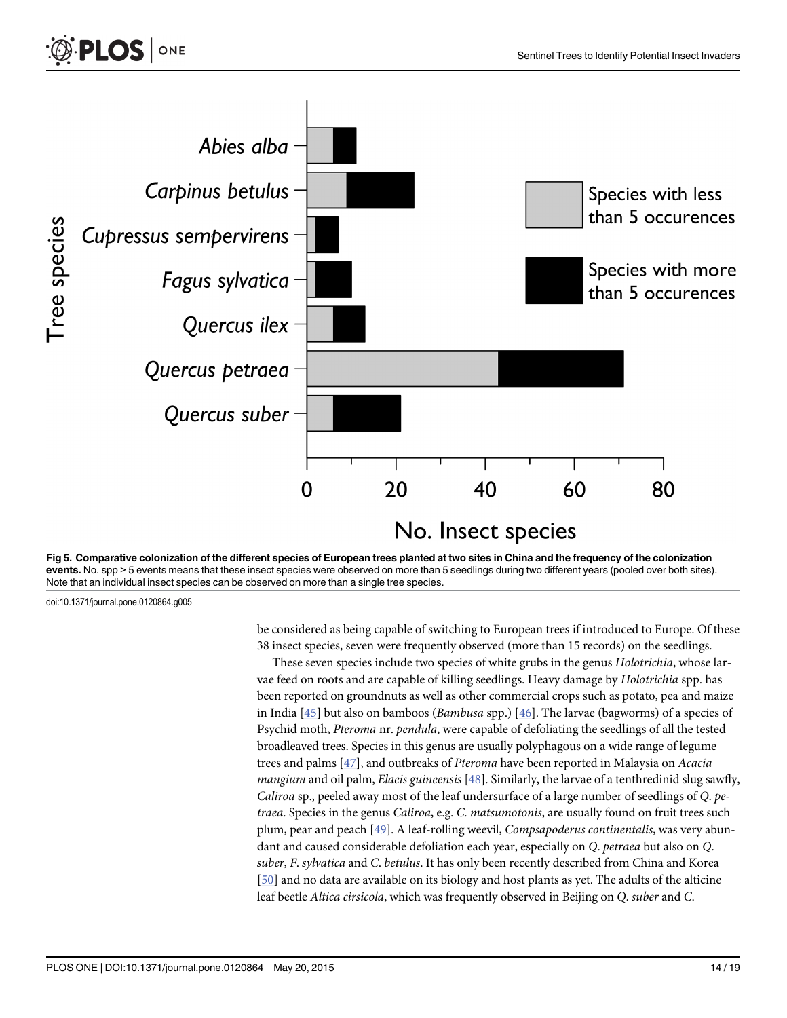



doi:10.1371/journal.pone.0120864.g005

<span id="page-13-0"></span>**PLOS** I

ONE

be considered as being capable of switching to European trees if introduced to Europe. Of these 38 insect species, seven were frequently observed (more than 15 records) on the seedlings.

These seven species include two species of white grubs in the genus Holotrichia, whose larvae feed on roots and are capable of killing seedlings. Heavy damage by Holotrichia spp. has been reported on groundnuts as well as other commercial crops such as potato, pea and maize in India  $[45]$  $[45]$  $[45]$  but also on bamboos (Bambusa spp.)  $[46]$ . The larvae (bagworms) of a species of Psychid moth, Pteroma nr. pendula, were capable of defoliating the seedlings of all the tested broadleaved trees. Species in this genus are usually polyphagous on a wide range of legume trees and palms [[47](#page-18-0)], and outbreaks of Pteroma have been reported in Malaysia on Acacia mangium and oil palm, *Elaeis guineensis* [[48](#page-18-0)]. Similarly, the larvae of a tenthredinid slug sawfly, Caliroa sp., peeled away most of the leaf undersurface of a large number of seedlings of Q. petraea. Species in the genus Caliroa, e.g. C. matsumotonis, are usually found on fruit trees such plum, pear and peach [\[49\]](#page-18-0). A leaf-rolling weevil, Compsapoderus continentalis, was very abundant and caused considerable defoliation each year, especially on Q. petraea but also on Q. suber, F. sylvatica and C. betulus. It has only been recently described from China and Korea [\[50](#page-18-0)] and no data are available on its biology and host plants as yet. The adults of the alticine leaf beetle Altica cirsicola, which was frequently observed in Beijing on Q. suber and C.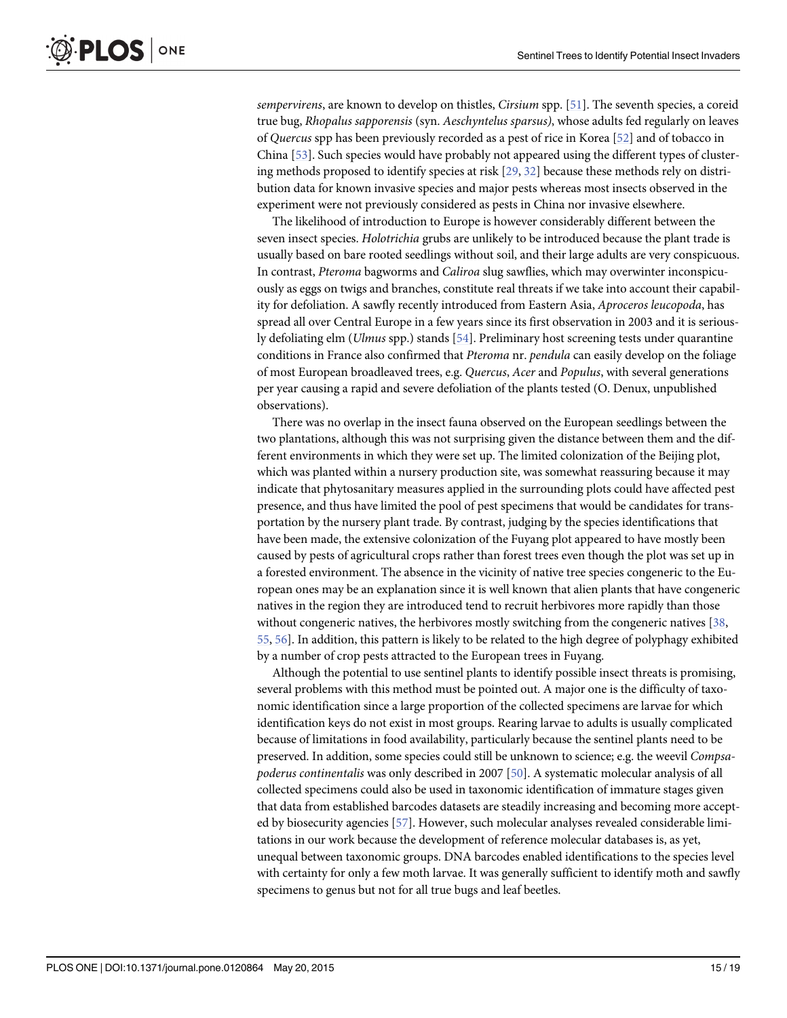<span id="page-14-0"></span>sempervirens, are known to develop on thistles, Cirsium spp. [[51](#page-18-0)]. The seventh species, a coreid true bug, Rhopalus sapporensis (syn. Aeschyntelus sparsus), whose adults fed regularly on leaves of Quercus spp has been previously recorded as a pest of rice in Korea [\[52\]](#page-18-0) and of tobacco in China [[53\]](#page-18-0). Such species would have probably not appeared using the different types of clustering methods proposed to identify species at risk [[29](#page-17-0), [32](#page-17-0)] because these methods rely on distribution data for known invasive species and major pests whereas most insects observed in the experiment were not previously considered as pests in China nor invasive elsewhere.

The likelihood of introduction to Europe is however considerably different between the seven insect species. Holotrichia grubs are unlikely to be introduced because the plant trade is usually based on bare rooted seedlings without soil, and their large adults are very conspicuous. In contrast, Pteroma bagworms and Caliroa slug sawflies, which may overwinter inconspicuously as eggs on twigs and branches, constitute real threats if we take into account their capability for defoliation. A sawfly recently introduced from Eastern Asia, Aproceros leucopoda, has spread all over Central Europe in a few years since its first observation in 2003 and it is seriously defoliating elm (Ulmus spp.) stands [\[54\]](#page-18-0). Preliminary host screening tests under quarantine conditions in France also confirmed that Pteroma nr. pendula can easily develop on the foliage of most European broadleaved trees, e.g. Quercus, Acer and Populus, with several generations per year causing a rapid and severe defoliation of the plants tested (O. Denux, unpublished observations).

There was no overlap in the insect fauna observed on the European seedlings between the two plantations, although this was not surprising given the distance between them and the different environments in which they were set up. The limited colonization of the Beijing plot, which was planted within a nursery production site, was somewhat reassuring because it may indicate that phytosanitary measures applied in the surrounding plots could have affected pest presence, and thus have limited the pool of pest specimens that would be candidates for transportation by the nursery plant trade. By contrast, judging by the species identifications that have been made, the extensive colonization of the Fuyang plot appeared to have mostly been caused by pests of agricultural crops rather than forest trees even though the plot was set up in a forested environment. The absence in the vicinity of native tree species congeneric to the European ones may be an explanation since it is well known that alien plants that have congeneric natives in the region they are introduced tend to recruit herbivores more rapidly than those without congeneric natives, the herbivores mostly switching from the congeneric natives [[38](#page-18-0), [55,](#page-18-0) [56\]](#page-18-0). In addition, this pattern is likely to be related to the high degree of polyphagy exhibited by a number of crop pests attracted to the European trees in Fuyang.

Although the potential to use sentinel plants to identify possible insect threats is promising, several problems with this method must be pointed out. A major one is the difficulty of taxonomic identification since a large proportion of the collected specimens are larvae for which identification keys do not exist in most groups. Rearing larvae to adults is usually complicated because of limitations in food availability, particularly because the sentinel plants need to be preserved. In addition, some species could still be unknown to science; e.g. the weevil Compsapoderus continentalis was only described in 2007 [\[50](#page-18-0)]. A systematic molecular analysis of all collected specimens could also be used in taxonomic identification of immature stages given that data from established barcodes datasets are steadily increasing and becoming more accepted by biosecurity agencies [\[57\]](#page-18-0). However, such molecular analyses revealed considerable limitations in our work because the development of reference molecular databases is, as yet, unequal between taxonomic groups. DNA barcodes enabled identifications to the species level with certainty for only a few moth larvae. It was generally sufficient to identify moth and sawfly specimens to genus but not for all true bugs and leaf beetles.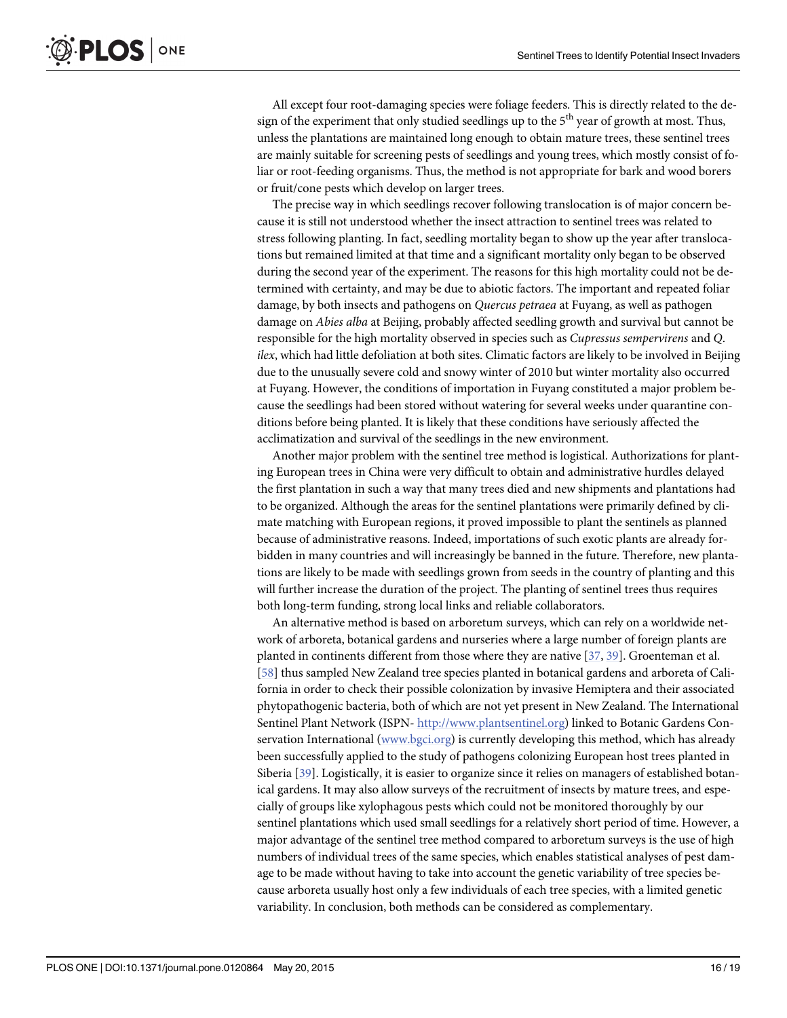<span id="page-15-0"></span>All except four root-damaging species were foliage feeders. This is directly related to the design of the experiment that only studied seedlings up to the  $5<sup>th</sup>$  year of growth at most. Thus, unless the plantations are maintained long enough to obtain mature trees, these sentinel trees are mainly suitable for screening pests of seedlings and young trees, which mostly consist of foliar or root-feeding organisms. Thus, the method is not appropriate for bark and wood borers or fruit/cone pests which develop on larger trees.

The precise way in which seedlings recover following translocation is of major concern because it is still not understood whether the insect attraction to sentinel trees was related to stress following planting. In fact, seedling mortality began to show up the year after translocations but remained limited at that time and a significant mortality only began to be observed during the second year of the experiment. The reasons for this high mortality could not be determined with certainty, and may be due to abiotic factors. The important and repeated foliar damage, by both insects and pathogens on *Quercus petraea* at Fuyang, as well as pathogen damage on Abies alba at Beijing, probably affected seedling growth and survival but cannot be responsible for the high mortality observed in species such as Cupressus sempervirens and Q. ilex, which had little defoliation at both sites. Climatic factors are likely to be involved in Beijing due to the unusually severe cold and snowy winter of 2010 but winter mortality also occurred at Fuyang. However, the conditions of importation in Fuyang constituted a major problem because the seedlings had been stored without watering for several weeks under quarantine conditions before being planted. It is likely that these conditions have seriously affected the acclimatization and survival of the seedlings in the new environment.

Another major problem with the sentinel tree method is logistical. Authorizations for planting European trees in China were very difficult to obtain and administrative hurdles delayed the first plantation in such a way that many trees died and new shipments and plantations had to be organized. Although the areas for the sentinel plantations were primarily defined by climate matching with European regions, it proved impossible to plant the sentinels as planned because of administrative reasons. Indeed, importations of such exotic plants are already forbidden in many countries and will increasingly be banned in the future. Therefore, new plantations are likely to be made with seedlings grown from seeds in the country of planting and this will further increase the duration of the project. The planting of sentinel trees thus requires both long-term funding, strong local links and reliable collaborators.

An alternative method is based on arboretum surveys, which can rely on a worldwide network of arboreta, botanical gardens and nurseries where a large number of foreign plants are planted in continents different from those where they are native [[37](#page-17-0), [39](#page-18-0)]. Groenteman et al. [\[58](#page-18-0)] thus sampled New Zealand tree species planted in botanical gardens and arboreta of California in order to check their possible colonization by invasive Hemiptera and their associated phytopathogenic bacteria, both of which are not yet present in New Zealand. The International Sentinel Plant Network (ISPN- <http://www.plantsentinel.org>) linked to Botanic Gardens Conservation International ([www.bgci.org\)](http://www.bgci.org) is currently developing this method, which has already been successfully applied to the study of pathogens colonizing European host trees planted in Siberia [[39](#page-18-0)]. Logistically, it is easier to organize since it relies on managers of established botanical gardens. It may also allow surveys of the recruitment of insects by mature trees, and especially of groups like xylophagous pests which could not be monitored thoroughly by our sentinel plantations which used small seedlings for a relatively short period of time. However, a major advantage of the sentinel tree method compared to arboretum surveys is the use of high numbers of individual trees of the same species, which enables statistical analyses of pest damage to be made without having to take into account the genetic variability of tree species because arboreta usually host only a few individuals of each tree species, with a limited genetic variability. In conclusion, both methods can be considered as complementary.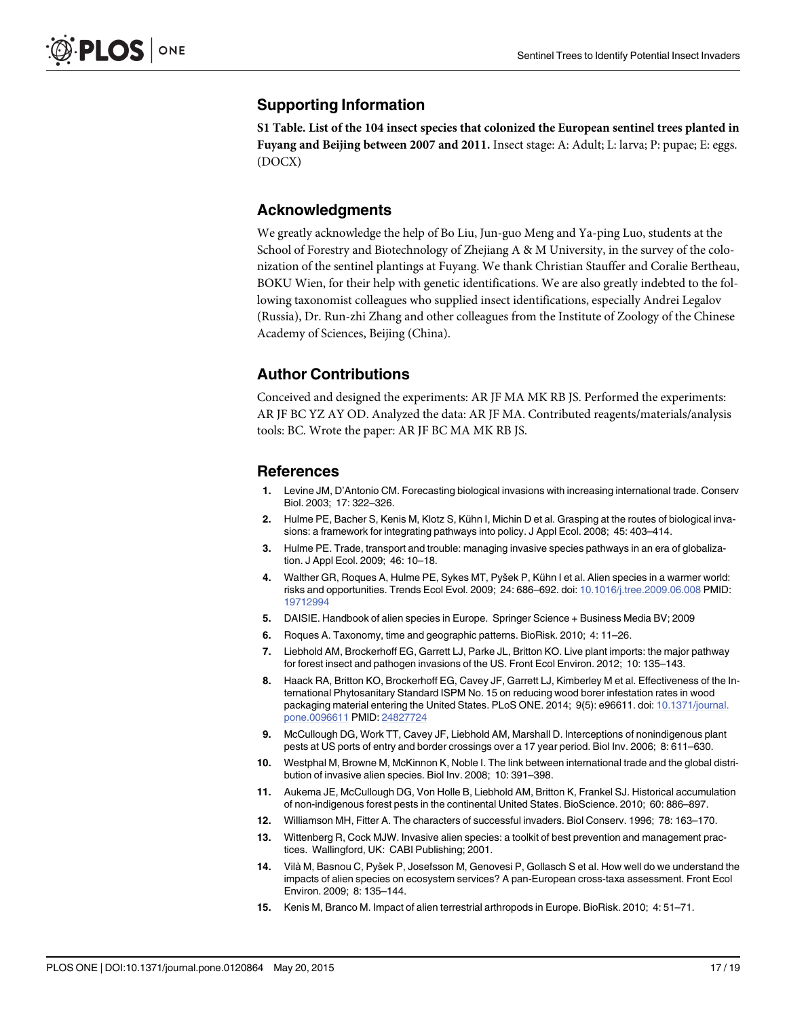# <span id="page-16-0"></span>Supporting Information

[S1 Table](http://www.plosone.org/article/fetchSingleRepresentation.action?uri=info:doi/10.1371/journal.pone.0120864.s001). List of the 104 insect species that colonized the European sentinel trees planted in Fuyang and Beijing between 2007 and 2011. Insect stage: A: Adult; L: larva; P: pupae; E: eggs. (DOCX)

# Acknowledgments

We greatly acknowledge the help of Bo Liu, Jun-guo Meng and Ya-ping Luo, students at the School of Forestry and Biotechnology of Zhejiang A & M University, in the survey of the colonization of the sentinel plantings at Fuyang. We thank Christian Stauffer and Coralie Bertheau, BOKU Wien, for their help with genetic identifications. We are also greatly indebted to the following taxonomist colleagues who supplied insect identifications, especially Andrei Legalov (Russia), Dr. Run-zhi Zhang and other colleagues from the Institute of Zoology of the Chinese Academy of Sciences, Beijing (China).

# Author Contributions

Conceived and designed the experiments: AR JF MA MK RB JS. Performed the experiments: AR JF BC YZ AY OD. Analyzed the data: AR JF MA. Contributed reagents/materials/analysis tools: BC. Wrote the paper: AR JF BC MA MK RB JS.

#### References

- [1.](#page-1-0) Levine JM, D'Antonio CM. Forecasting biological invasions with increasing international trade. Conserv Biol. 2003; 17: 322–326.
- 2. Hulme PE, Bacher S, Kenis M, Klotz S, Kühn I, Michin D et al. Grasping at the routes of biological invasions: a framework for integrating pathways into policy. J Appl Ecol. 2008; 45: 403–414.
- 3. Hulme PE. Trade, transport and trouble: managing invasive species pathways in an era of globalization. J Appl Ecol. 2009; 46: 10–18.
- [4.](#page-1-0) Walther GR, Roques A, Hulme PE, Sykes MT, Pyšek P, Kühn I et al. Alien species in a warmer world: risks and opportunities. Trends Ecol Evol. 2009; 24: 686–692. doi: [10.1016/j.tree.2009.06.008](http://dx.doi.org/10.1016/j.tree.2009.06.008) PMID: [19712994](http://www.ncbi.nlm.nih.gov/pubmed/19712994)
- [5.](#page-1-0) DAISIE. Handbook of alien species in Europe. Springer Science + Business Media BV; 2009
- [6.](#page-1-0) Roques A. Taxonomy, time and geographic patterns. BioRisk. 2010; 4: 11–26.
- [7.](#page-1-0) Liebhold AM, Brockerhoff EG, Garrett LJ, Parke JL, Britton KO. Live plant imports: the major pathway for forest insect and pathogen invasions of the US. Front Ecol Environ. 2012; 10: 135–143.
- [8.](#page-1-0) Haack RA, Britton KO, Brockerhoff EG, Cavey JF, Garrett LJ, Kimberley M et al. Effectiveness of the International Phytosanitary Standard ISPM No. 15 on reducing wood borer infestation rates in wood packaging material entering the United States. PLoS ONE. 2014; 9(5): e96611. doi: [10.1371/journal.](http://dx.doi.org/10.1371/journal.pone.0096611) [pone.0096611](http://dx.doi.org/10.1371/journal.pone.0096611) PMID: [24827724](http://www.ncbi.nlm.nih.gov/pubmed/24827724)
- 9. McCullough DG, Work TT, Cavey JF, Liebhold AM, Marshall D. Interceptions of nonindigenous plant pests at US ports of entry and border crossings over a 17 year period. Biol Inv. 2006; 8: 611–630.
- [10.](#page-1-0) Westphal M, Browne M, McKinnon K, Noble I. The link between international trade and the global distribution of invasive alien species. Biol Inv. 2008; 10: 391–398.
- [11.](#page-1-0) Aukema JE, McCullough DG, Von Holle B, Liebhold AM, Britton K, Frankel SJ. Historical accumulation of non-indigenous forest pests in the continental United States. BioScience. 2010; 60: 886–897.
- [12.](#page-1-0) Williamson MH, Fitter A. The characters of successful invaders. Biol Conserv. 1996; 78: 163–170.
- [13.](#page-1-0) Wittenberg R, Cock MJW. Invasive alien species: a toolkit of best prevention and management practices. Wallingford, UK: CABI Publishing; 2001.
- 14. Vilà M, Basnou C, Pyšek P, Josefsson M, Genovesi P, Gollasch S et al. How well do we understand the impacts of alien species on ecosystem services? A pan-European cross-taxa assessment. Front Ecol Environ. 2009; 8: 135–144.
- 15. Kenis M, Branco M. Impact of alien terrestrial arthropods in Europe. BioRisk. 2010; 4: 51–71.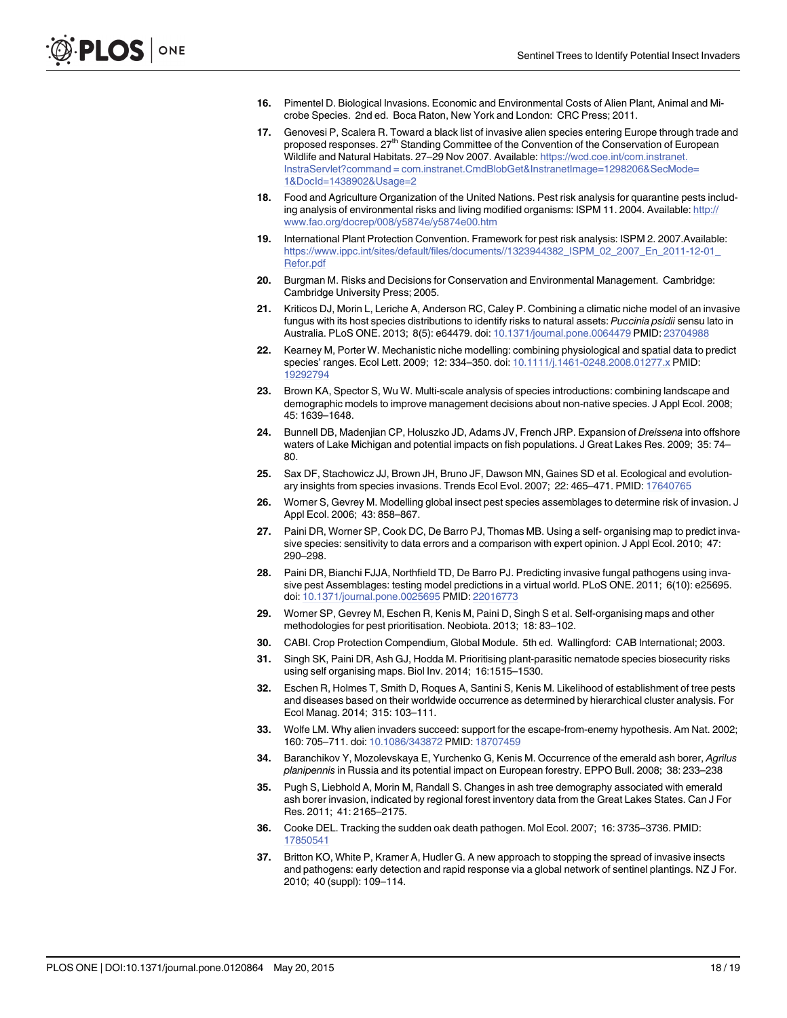- <span id="page-17-0"></span>[16.](#page-1-0) Pimentel D. Biological Invasions. Economic and Environmental Costs of Alien Plant, Animal and Microbe Species. 2nd ed. Boca Raton, New York and London: CRC Press; 2011.
- [17.](#page-1-0) Genovesi P, Scalera R. Toward a black list of invasive alien species entering Europe through trade and proposed responses. 27<sup>th</sup> Standing Committee of the Convention of the Conservation of European Wildlife and Natural Habitats. 27–29 Nov 2007. Available: [https://wcd.coe.int/com.instranet.](https://wcd.coe.int/com.instranet.InstraServlet?command�=�com.instranet.CmdBlobGet&InstranetImage=1298206&SecMode=1&DocId=1438902&Usage=2) [InstraServlet?command = com.instranet.CmdBlobGet&InstranetImage=1298206&SecMode=](https://wcd.coe.int/com.instranet.InstraServlet?command�=�com.instranet.CmdBlobGet&InstranetImage=1298206&SecMode=1&DocId=1438902&Usage=2) [1&DocId=1438902&Usage=2](https://wcd.coe.int/com.instranet.InstraServlet?command�=�com.instranet.CmdBlobGet&InstranetImage=1298206&SecMode=1&DocId=1438902&Usage=2)
- [18.](#page-1-0) Food and Agriculture Organization of the United Nations. Pest risk analysis for quarantine pests including analysis of environmental risks and living modified organisms: ISPM 11. 2004. Available: [http://](http://www.fao.org/docrep/008/y5874e/y5874e00.htm) [www.fao.org/docrep/008/y5874e/y5874e00.htm](http://www.fao.org/docrep/008/y5874e/y5874e00.htm)
- [19.](#page-1-0) International Plant Protection Convention. Framework for pest risk analysis: ISPM 2. 2007.Available: https://www.ippc.int/sites/default/files/documents//1323944382\_ISPM\_02\_2007\_En\_2011-12-01 [Refor.pdf](https://www.ippc.int/sites/default/files/documents//1323944382_ISPM_02_2007_En_2011-12-01_Refor.pdf)
- [20.](#page-1-0) Burgman M. Risks and Decisions for Conservation and Environmental Management. Cambridge: Cambridge University Press; 2005.
- [21.](#page-1-0) Kriticos DJ, Morin L, Leriche A, Anderson RC, Caley P. Combining a climatic niche model of an invasive fungus with its host species distributions to identify risks to natural assets: Puccinia psidii sensu lato in Australia. PLoS ONE. 2013; 8(5): e64479. doi: [10.1371/journal.pone.0064479](http://dx.doi.org/10.1371/journal.pone.0064479) PMID: [23704988](http://www.ncbi.nlm.nih.gov/pubmed/23704988)
- [22.](#page-1-0) Kearney M, Porter W. Mechanistic niche modelling: combining physiological and spatial data to predict species' ranges. Ecol Lett. 2009; 12: 334–350. doi: [10.1111/j.1461-0248.2008.01277.x](http://dx.doi.org/10.1111/j.1461-0248.2008.01277.x) PMID: [19292794](http://www.ncbi.nlm.nih.gov/pubmed/19292794)
- [23.](#page-1-0) Brown KA, Spector S, Wu W. Multi-scale analysis of species introductions: combining landscape and demographic models to improve management decisions about non-native species. J Appl Ecol. 2008; 45: 1639–1648.
- [24.](#page-1-0) Bunnell DB, Madenjian CP, Holuszko JD, Adams JV, French JRP. Expansion of Dreissena into offshore waters of Lake Michigan and potential impacts on fish populations. J Great Lakes Res. 2009; 35: 74– 80.
- [25.](#page-1-0) Sax DF, Stachowicz JJ, Brown JH, Bruno JF, Dawson MN, Gaines SD et al. Ecological and evolutionary insights from species invasions. Trends Ecol Evol. 2007; 22: 465–471. PMID: [17640765](http://www.ncbi.nlm.nih.gov/pubmed/17640765)
- [26.](#page-1-0) Worner S, Gevrey M. Modelling global insect pest species assemblages to determine risk of invasion. J Appl Ecol. 2006; 43: 858–867.
- [27.](#page-1-0) Paini DR, Worner SP, Cook DC, De Barro PJ, Thomas MB. Using a self- organising map to predict invasive species: sensitivity to data errors and a comparison with expert opinion. J Appl Ecol. 2010; 47: 290–298.
- [28.](#page-1-0) Paini DR, Bianchi FJJA, Northfield TD, De Barro PJ. Predicting invasive fungal pathogens using invasive pest Assemblages: testing model predictions in a virtual world. PLoS ONE. 2011; 6(10): e25695. doi: [10.1371/journal.pone.0025695](http://dx.doi.org/10.1371/journal.pone.0025695) PMID: [22016773](http://www.ncbi.nlm.nih.gov/pubmed/22016773)
- [29.](#page-1-0) Worner SP, Gevrey M, Eschen R, Kenis M, Paini D, Singh S et al. Self-organising maps and other methodologies for pest prioritisation. Neobiota. 2013; 18: 83–102.
- [30.](#page-1-0) CABI. Crop Protection Compendium, Global Module. 5th ed. Wallingford: CAB International; 2003.
- [31.](#page-1-0) Singh SK, Paini DR, Ash GJ, Hodda M. Prioritising plant-parasitic nematode species biosecurity risks using self organising maps. Biol Inv. 2014; 16:1515–1530.
- Eschen R, Holmes T, Smith D, Roques A, Santini S, Kenis M. Likelihood of establishment of tree pests and diseases based on their worldwide occurrence as determined by hierarchical cluster analysis. For Ecol Manag. 2014; 315: 103–111.
- [33.](#page-2-0) Wolfe LM. Why alien invaders succeed: support for the escape-from-enemy hypothesis. Am Nat. 2002; 160: 705–711. doi: [10.1086/343872](http://dx.doi.org/10.1086/343872) PMID: [18707459](http://www.ncbi.nlm.nih.gov/pubmed/18707459)
- [34.](#page-2-0) Baranchikov Y, Mozolevskaya E, Yurchenko G, Kenis M. Occurrence of the emerald ash borer, Agrilus planipennis in Russia and its potential impact on European forestry. EPPO Bull. 2008; 38: 233–238
- [35.](#page-2-0) Pugh S, Liebhold A, Morin M, Randall S. Changes in ash tree demography associated with emerald ash borer invasion, indicated by regional forest inventory data from the Great Lakes States. Can J For Res. 2011; 41: 2165–2175.
- [36.](#page-2-0) Cooke DEL. Tracking the sudden oak death pathogen. Mol Ecol. 2007; 16: 3735–3736. PMID: [17850541](http://www.ncbi.nlm.nih.gov/pubmed/17850541)
- [37.](#page-2-0) Britton KO, White P, Kramer A, Hudler G. A new approach to stopping the spread of invasive insects and pathogens: early detection and rapid response via a global network of sentinel plantings. NZ J For. 2010; 40 (suppl): 109–114.